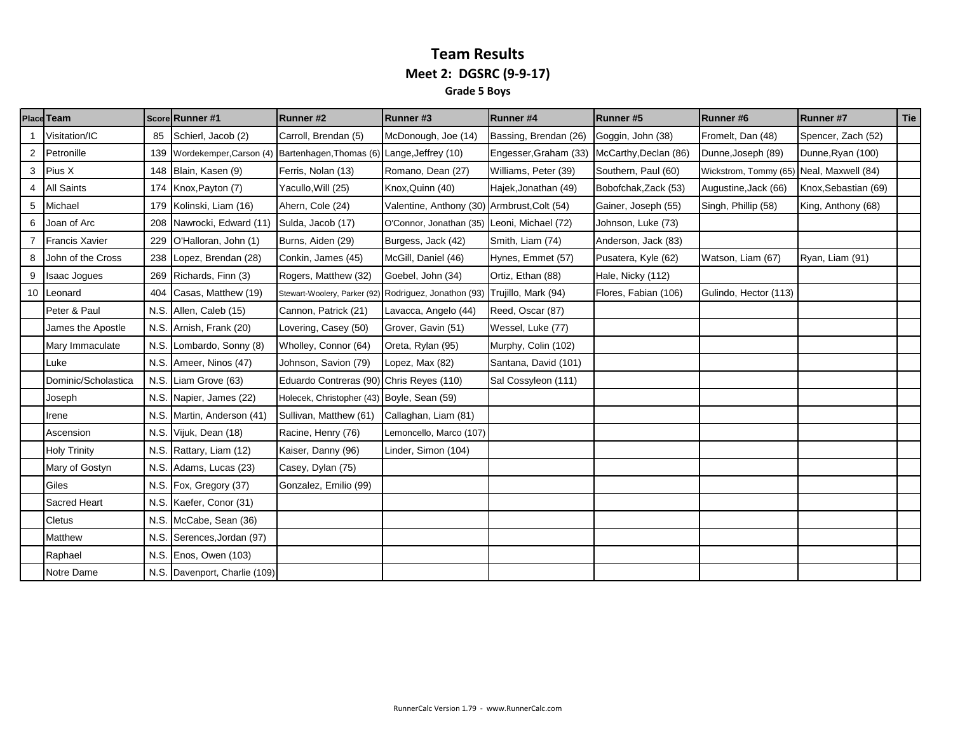#### **Team Results Meet 2: DGSRC (9-9-17) Grade 5 Boys**

|    | <b>Place Team</b>     |      | Score Runner #1               | Runner #2                                             | Runner#3                                    | Runner #4             | <b>Runner#5</b>       | <b>Runner#6</b>                          | <b>Runner#7</b>      | <b>Tie</b> |
|----|-----------------------|------|-------------------------------|-------------------------------------------------------|---------------------------------------------|-----------------------|-----------------------|------------------------------------------|----------------------|------------|
|    | Visitation/IC         | 85   | Schierl, Jacob (2)            | Carroll, Brendan (5)                                  | McDonough, Joe (14)                         | Bassing, Brendan (26) | Goggin, John (38)     | Fromelt, Dan (48)                        | Spencer, Zach (52)   |            |
| 2  | Petronille            | 139  | Wordekemper, Carson (4)       | Bartenhagen, Thomas (6) Lange, Jeffrey (10)           |                                             | Engesser, Graham (33) | McCarthy, Declan (86) | Dunne, Joseph (89)                       | Dunne, Ryan (100)    |            |
| 3  | Pius X                | 148  | Blain, Kasen (9)              | Ferris, Nolan (13)                                    | Romano, Dean (27)                           | Williams, Peter (39)  | Southern, Paul (60)   | Wickstrom, Tommy (65) Neal, Maxwell (84) |                      |            |
| 4  | <b>All Saints</b>     | 174  | Knox, Payton (7)              | Yacullo, Will (25)                                    | Knox, Quinn (40)                            | Hajek, Jonathan (49)  | Bobofchak, Zack (53)  | Augustine, Jack (66)                     | Knox, Sebastian (69) |            |
| 5  | Michael               | 179  | Kolinski, Liam (16)           | Ahern, Cole (24)                                      | Valentine, Anthony (30) Armbrust, Colt (54) |                       | Gainer, Joseph (55)   | Singh, Phillip (58)                      | King, Anthony (68)   |            |
| 6  | Joan of Arc           | 208  | Nawrocki, Edward (11)         | Sulda, Jacob (17)                                     | O'Connor, Jonathan (35) Leoni, Michael (72) |                       | Johnson, Luke (73)    |                                          |                      |            |
|    | <b>Francis Xavier</b> | 229  | O'Halloran, John (1)          | Burns, Aiden (29)                                     | Burgess, Jack (42)                          | Smith, Liam (74)      | Anderson, Jack (83)   |                                          |                      |            |
| 8  | John of the Cross     | 238  | Lopez, Brendan (28)           | Conkin, James (45)                                    | McGill, Daniel (46)                         | Hynes, Emmet (57)     | Pusatera, Kyle (62)   | Watson, Liam (67)                        | Ryan, Liam (91)      |            |
|    | <b>Isaac Jogues</b>   | 269  | Richards, Finn (3)            | Rogers, Matthew (32)                                  | Goebel, John (34)                           | Ortiz, Ethan (88)     | Hale, Nicky (112)     |                                          |                      |            |
| 10 | Leonard               | 404  | Casas, Matthew (19)           | Stewart-Woolery, Parker (92) Rodriguez, Jonathon (93) |                                             | Trujillo, Mark (94)   | Flores, Fabian (106)  | Gulindo, Hector (113)                    |                      |            |
|    | Peter & Paul          |      | N.S. Allen, Caleb (15)        | Cannon, Patrick (21)                                  | Lavacca, Angelo (44)                        | Reed, Oscar (87)      |                       |                                          |                      |            |
|    | James the Apostle     |      | N.S. Arnish, Frank (20)       | Lovering, Casey (50)                                  | Grover, Gavin (51)                          | Wessel, Luke (77)     |                       |                                          |                      |            |
|    | Mary Immaculate       | N.S. | Lombardo, Sonny (8)           | Wholley, Connor (64)                                  | Oreta, Rylan (95)                           | Murphy, Colin (102)   |                       |                                          |                      |            |
|    | Luke                  | N.S. | Ameer, Ninos (47)             | Johnson, Savion (79)                                  | Lopez, Max (82)                             | Santana, David (101)  |                       |                                          |                      |            |
|    | Dominic/Scholastica   | N.S. | Liam Grove (63)               | Eduardo Contreras (90) Chris Reyes (110)              |                                             | Sal Cossyleon (111)   |                       |                                          |                      |            |
|    | Joseph                | N.S. | Napier, James (22)            | Holecek, Christopher (43) Boyle, Sean (59)            |                                             |                       |                       |                                          |                      |            |
|    | Irene                 | N.S. | Martin, Anderson (41)         | Sullivan, Matthew (61)                                | Callaghan, Liam (81)                        |                       |                       |                                          |                      |            |
|    | Ascension             | N.S. | Vijuk, Dean (18)              | Racine, Henry (76)                                    | Lemoncello, Marco (107)                     |                       |                       |                                          |                      |            |
|    | <b>Holy Trinity</b>   | N.S. | Rattary, Liam (12)            | Kaiser, Danny (96)                                    | Linder, Simon (104)                         |                       |                       |                                          |                      |            |
|    | Mary of Gostyn        | N.S. | Adams, Lucas (23)             | Casey, Dylan (75)                                     |                                             |                       |                       |                                          |                      |            |
|    | Giles                 | N.S. | Fox, Gregory (37)             | Gonzalez, Emilio (99)                                 |                                             |                       |                       |                                          |                      |            |
|    | Sacred Heart          | N.S. | Kaefer, Conor (31)            |                                                       |                                             |                       |                       |                                          |                      |            |
|    | <b>Cletus</b>         | N.S. | McCabe, Sean (36)             |                                                       |                                             |                       |                       |                                          |                      |            |
|    | Matthew               | N.S  | Serences, Jordan (97)         |                                                       |                                             |                       |                       |                                          |                      |            |
|    | Raphael               | N.S. | Enos, Owen (103)              |                                                       |                                             |                       |                       |                                          |                      |            |
|    | Notre Dame            |      | N.S. Davenport, Charlie (109) |                                                       |                                             |                       |                       |                                          |                      |            |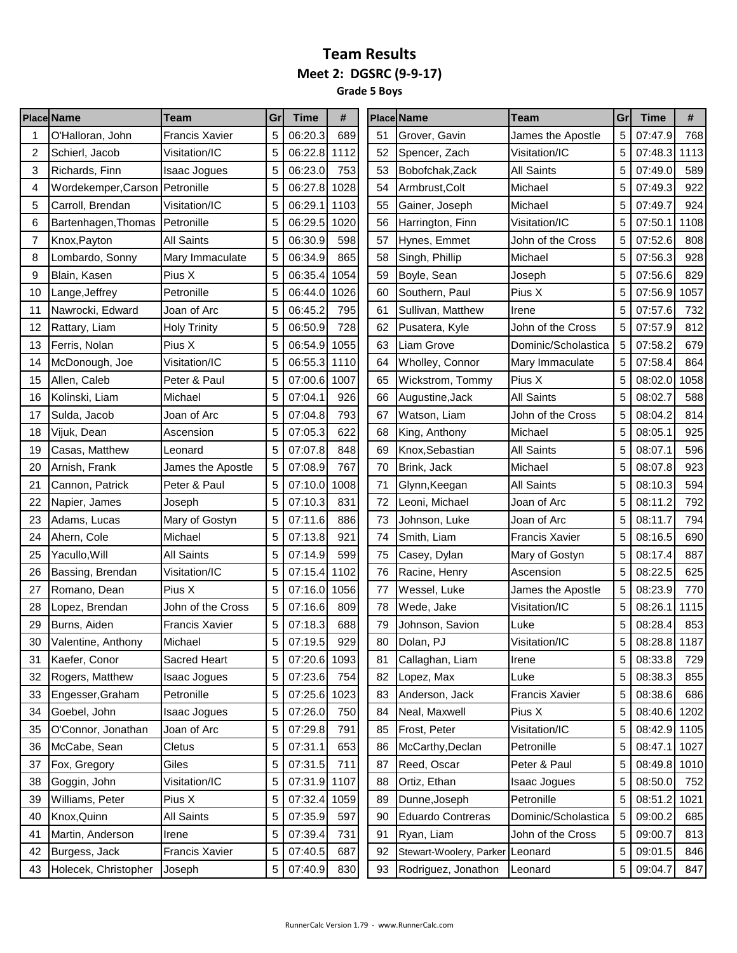**Grade 5 Boys**

|    | <b>Place Name</b>              | Team                  | Gr | Time         | #    |    | <b>Place Name</b>       | Team                  | Gr | Time         | #    |
|----|--------------------------------|-----------------------|----|--------------|------|----|-------------------------|-----------------------|----|--------------|------|
|    | O'Halloran, John               | Francis Xavier        | 5  | 06:20.3      | 689  | 51 | Grover, Gavin           | James the Apostle     | 5  | 07:47.9      | 768  |
| 2  | Schierl, Jacob                 | Visitation/IC         | 5  | 06:22.8      | 1112 | 52 | Spencer, Zach           | Visitation/IC         | 5  | 07:48.3      | 1113 |
| 3  | Richards, Finn                 | <b>Isaac Jogues</b>   | 5  | 06:23.0      | 753  | 53 | Bobofchak, Zack         | <b>All Saints</b>     | 5  | 07:49.0      | 589  |
| 4  | Wordekemper, Carson Petronille |                       | 5  | 06:27.8      | 1028 | 54 | Armbrust, Colt          | Michael               | 5  | 07:49.3      | 922  |
| 5  | Carroll, Brendan               | Visitation/IC         | 5  | 06:29.1      | 1103 | 55 | Gainer, Joseph          | Michael               | 5  | 07:49.7      | 924  |
| 6  | Bartenhagen, Thomas            | Petronille            | 5  | 06:29.5      | 1020 | 56 | Harrington, Finn        | Visitation/IC         | 5  | 07:50.1      | 1108 |
| 7  | Knox, Payton                   | <b>All Saints</b>     | 5  | 06:30.9      | 598  | 57 | Hynes, Emmet            | John of the Cross     | 5  | 07:52.6      | 808  |
| 8  | Lombardo, Sonny                | Mary Immaculate       | 5  | 06:34.9      | 865  | 58 | Singh, Phillip          | Michael               | 5  | 07:56.3      | 928  |
| 9  | Blain, Kasen                   | Pius X                | 5  | 06:35.4      | 1054 | 59 | Boyle, Sean             | Joseph                | 5  | 07:56.6      | 829  |
| 10 | Lange, Jeffrey                 | Petronille            | 5  | 06:44.0      | 1026 | 60 | Southern, Paul          | Pius X                | 5  | 07:56.9      | 1057 |
| 11 | Nawrocki, Edward               | Joan of Arc           | 5  | 06:45.2      | 795  | 61 | Sullivan, Matthew       | Irene                 | 5  | 07:57.6      | 732  |
| 12 | Rattary, Liam                  | <b>Holy Trinity</b>   | 5  | 06:50.9      | 728  | 62 | Pusatera, Kyle          | John of the Cross     | 5  | 07:57.9      | 812  |
| 13 | Ferris, Nolan                  | Pius X                | 5  | 06:54.9      | 1055 | 63 | Liam Grove              | Dominic/Scholastica   | 5  | 07:58.2      | 679  |
| 14 | McDonough, Joe                 | Visitation/IC         | 5  | 06:55.3 1110 |      | 64 | Wholley, Connor         | Mary Immaculate       | 5  | 07:58.4      | 864  |
| 15 | Allen, Caleb                   | Peter & Paul          | 5  | 07:00.6      | 1007 | 65 | Wickstrom, Tommy        | Pius X                | 5  | 08:02.0      | 1058 |
| 16 | Kolinski, Liam                 | Michael               | 5  | 07:04.1      | 926  | 66 | Augustine, Jack         | <b>All Saints</b>     | 5  | 08:02.7      | 588  |
| 17 | Sulda, Jacob                   | Joan of Arc           | 5  | 07:04.8      | 793  | 67 | Watson, Liam            | John of the Cross     | 5  | 08:04.2      | 814  |
| 18 | Vijuk, Dean                    | Ascension             | 5  | 07:05.3      | 622  | 68 | King, Anthony           | Michael               | 5  | 08:05.1      | 925  |
| 19 | Casas, Matthew                 | Leonard               | 5  | 07:07.8      | 848  | 69 | Knox, Sebastian         | <b>All Saints</b>     | 5  | 08:07.1      | 596  |
| 20 | Arnish, Frank                  | James the Apostle     | 5  | 07:08.9      | 767  | 70 | Brink, Jack             | Michael               | 5  | 08:07.8      | 923  |
| 21 | Cannon, Patrick                | Peter & Paul          | 5  | 07:10.0      | 1008 | 71 | Glynn, Keegan           | <b>All Saints</b>     | 5  | 08:10.3      | 594  |
| 22 | Napier, James                  | Joseph                | 5  | 07:10.3      | 831  | 72 | Leoni, Michael          | Joan of Arc           | 5  | 08:11.2      | 792  |
| 23 | Adams, Lucas                   | Mary of Gostyn        | 5  | 07:11.6      | 886  | 73 | Johnson, Luke           | Joan of Arc           | 5  | 08:11.7      | 794  |
| 24 | Ahern, Cole                    | Michael               | 5  | 07:13.8      | 921  | 74 | Smith, Liam             | <b>Francis Xavier</b> | 5  | 08:16.5      | 690  |
| 25 | Yacullo, Will                  | <b>All Saints</b>     | 5  | 07:14.9      | 599  | 75 | Casey, Dylan            | Mary of Gostyn        | 5  | 08:17.4      | 887  |
| 26 | Bassing, Brendan               | Visitation/IC         | 5  | 07:15.4      | 1102 | 76 | Racine, Henry           | Ascension             | 5  | 08:22.5      | 625  |
| 27 | Romano, Dean                   | Pius X                | 5  | 07:16.0      | 1056 | 77 | Wessel, Luke            | James the Apostle     | 5  | 08:23.9      | 770  |
| 28 | Lopez, Brendan                 | John of the Cross     | 5  | 07:16.6      | 809  | 78 | Wede, Jake              | Visitation/IC         | 5  | 08:26.1      | 1115 |
| 29 | Burns, Aiden                   | <b>Francis Xavier</b> | 5  | 07:18.3      | 688  | 79 | Johnson, Savion         | Luke                  | 5  | 08:28.4      | 853  |
| 30 | Valentine, Anthony             | Michael               | 5  | 07:19.5      | 929  | 80 | Dolan, PJ               | Visitation/IC         | 5  | 08:28.8 1187 |      |
| 31 | Kaefer, Conor                  | <b>Sacred Heart</b>   | 5  | 07:20.6 1093 |      | 81 | Callaghan, Liam         | Irene                 | 5  | 08:33.8      | 729  |
| 32 | Rogers, Matthew                | Isaac Jogues          | 5  | 07:23.6      | 754  | 82 | Lopez, Max              | Luke                  | 5  | 08:38.3      | 855  |
| 33 | Engesser, Graham               | Petronille            | 5  | 07:25.6 1023 |      | 83 | Anderson, Jack          | <b>Francis Xavier</b> | 5  | 08:38.6      | 686  |
| 34 | Goebel, John                   | <b>Isaac Jogues</b>   | 5  | 07:26.0      | 750  | 84 | Neal, Maxwell           | Pius X                | 5  | 08:40.6 1202 |      |
| 35 | O'Connor, Jonathan             | Joan of Arc           | 5  | 07:29.8      | 791  | 85 | Frost, Peter            | Visitation/IC         | 5  | 08:42.9 1105 |      |
| 36 | McCabe, Sean                   | Cletus                | 5  | 07:31.1      | 653  | 86 | McCarthy, Declan        | Petronille            | 5  | 08:47.1      | 1027 |
| 37 | Fox, Gregory                   | Giles                 | 5  | 07:31.5      | 711  | 87 | Reed, Oscar             | Peter & Paul          | 5  | 08:49.8      | 1010 |
| 38 | Goggin, John                   | Visitation/IC         | 5  | 07:31.9 1107 |      | 88 | Ortiz, Ethan            | Isaac Jogues          | 5  | 08:50.0      | 752  |
| 39 | Williams, Peter                | Pius X                | 5  | 07:32.4 1059 |      | 89 | Dunne, Joseph           | Petronille            | 5  | 08:51.2      | 1021 |
| 40 | Knox, Quinn                    | All Saints            | 5  | 07:35.9      | 597  | 90 | Eduardo Contreras       | Dominic/Scholastica   | 5  | 09:00.2      | 685  |
| 41 | Martin, Anderson               | Irene                 | 5  | 07:39.4      | 731  | 91 | Ryan, Liam              | John of the Cross     | 5  | 09:00.7      | 813  |
| 42 | Burgess, Jack                  | <b>Francis Xavier</b> | 5  | 07:40.5      | 687  | 92 | Stewart-Woolery, Parker | Leonard               | 5  | 09:01.5      | 846  |
| 43 | Holecek, Christopher           | Joseph                | 5  | 07:40.9      | 830  | 93 | Rodriguez, Jonathon     | Leonard               | 5  | 09:04.7      | 847  |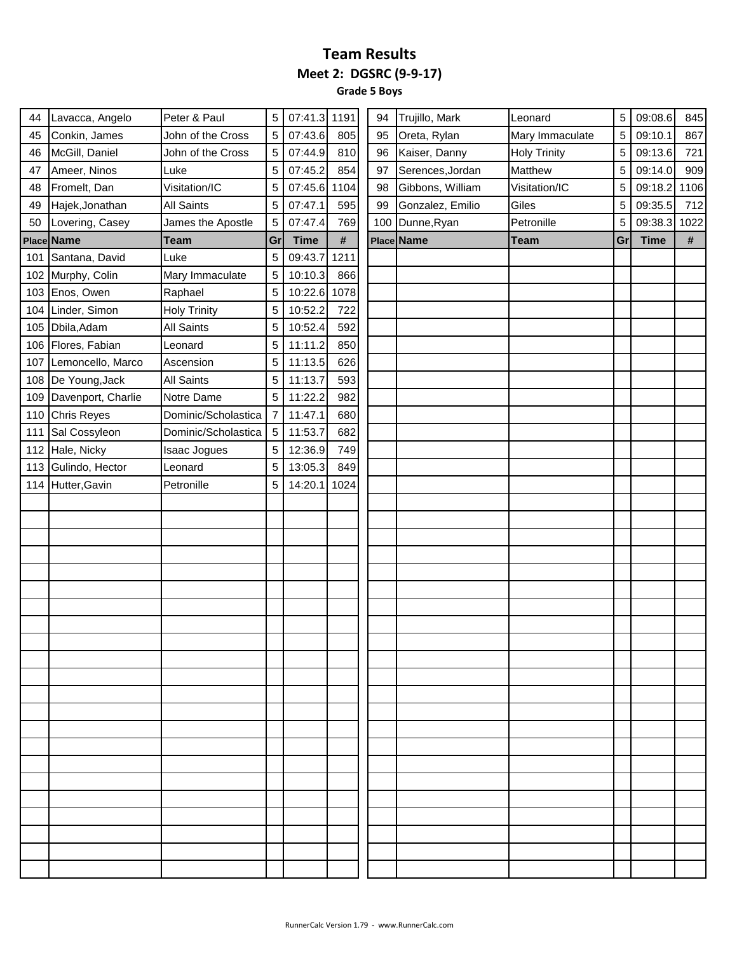**Grade 5 Boys**

| 44  | Lavacca, Angelo    | Peter & Paul        | 5  | 07:41.3 1191 |      | 94 | Trujillo, Mark   | Leonard             | 5  | 09:08.6     | 845  |
|-----|--------------------|---------------------|----|--------------|------|----|------------------|---------------------|----|-------------|------|
| 45  | Conkin, James      | John of the Cross   | 5  | 07:43.6      | 805  | 95 | Oreta, Rylan     | Mary Immaculate     | 5  | 09:10.1     | 867  |
| 46  | McGill, Daniel     | John of the Cross   | 5  | 07:44.9      | 810  | 96 | Kaiser, Danny    | <b>Holy Trinity</b> | 5  | 09:13.6     | 721  |
| 47  | Ameer, Ninos       | Luke                | 5  | 07:45.2      | 854  | 97 | Serences, Jordan | Matthew             | 5  | 09:14.0     | 909  |
| 48  | Fromelt, Dan       | Visitation/IC       | 5  | 07:45.6      | 1104 | 98 | Gibbons, William | Visitation/IC       | 5  | 09:18.2     | 1106 |
| 49  | Hajek, Jonathan    | All Saints          | 5  | 07:47.1      | 595  | 99 | Gonzalez, Emilio | Giles               | 5  | 09:35.5     | 712  |
| 50  | Lovering, Casey    | James the Apostle   | 5  | 07:47.4      | 769  |    | 100 Dunne, Ryan  | Petronille          | 5  | 09:38.3     | 1022 |
|     | Place Name         | <b>Team</b>         | Gr | <b>Time</b>  | #    |    | Place Name       | <b>Team</b>         | Gr | <b>Time</b> | #    |
| 101 | Santana, David     | Luke                | 5  | 09:43.7      | 1211 |    |                  |                     |    |             |      |
|     | 102 Murphy, Colin  | Mary Immaculate     | 5  | 10:10.3      | 866  |    |                  |                     |    |             |      |
| 103 | Enos, Owen         | Raphael             | 5  | 10:22.6 1078 |      |    |                  |                     |    |             |      |
| 104 | Linder, Simon      | <b>Holy Trinity</b> | 5  | 10:52.2      | 722  |    |                  |                     |    |             |      |
| 105 | Dbila, Adam        | All Saints          | 5  | 10:52.4      | 592  |    |                  |                     |    |             |      |
|     | 106 Flores, Fabian | Leonard             | 5  | 11:11.2      | 850  |    |                  |                     |    |             |      |
| 107 | Lemoncello, Marco  | Ascension           | 5  | 11:13.5      | 626  |    |                  |                     |    |             |      |
| 108 | De Young, Jack     | <b>All Saints</b>   | 5  | 11:13.7      | 593  |    |                  |                     |    |             |      |
| 109 | Davenport, Charlie | Notre Dame          | 5  | 11:22.2      | 982  |    |                  |                     |    |             |      |
| 110 | <b>Chris Reyes</b> | Dominic/Scholastica | 7  | 11:47.1      | 680  |    |                  |                     |    |             |      |
| 111 | Sal Cossyleon      | Dominic/Scholastica | 5  | 11:53.7      | 682  |    |                  |                     |    |             |      |
|     | 112 Hale, Nicky    | Isaac Jogues        | 5  | 12:36.9      | 749  |    |                  |                     |    |             |      |
| 113 | Gulindo, Hector    | Leonard             | 5  | 13:05.3      | 849  |    |                  |                     |    |             |      |
| 114 | Hutter, Gavin      | Petronille          | 5  | 14:20.1      | 1024 |    |                  |                     |    |             |      |
|     |                    |                     |    |              |      |    |                  |                     |    |             |      |
|     |                    |                     |    |              |      |    |                  |                     |    |             |      |
|     |                    |                     |    |              |      |    |                  |                     |    |             |      |
|     |                    |                     |    |              |      |    |                  |                     |    |             |      |
|     |                    |                     |    |              |      |    |                  |                     |    |             |      |
|     |                    |                     |    |              |      |    |                  |                     |    |             |      |
|     |                    |                     |    |              |      |    |                  |                     |    |             |      |
|     |                    |                     |    |              |      |    |                  |                     |    |             |      |
|     |                    |                     |    |              |      |    |                  |                     |    |             |      |
|     |                    |                     |    |              |      |    |                  |                     |    |             |      |
|     |                    |                     |    |              |      |    |                  |                     |    |             |      |
|     |                    |                     |    |              |      |    |                  |                     |    |             |      |
|     |                    |                     |    |              |      |    |                  |                     |    |             |      |
|     |                    |                     |    |              |      |    |                  |                     |    |             |      |
|     |                    |                     |    |              |      |    |                  |                     |    |             |      |
|     |                    |                     |    |              |      |    |                  |                     |    |             |      |
|     |                    |                     |    |              |      |    |                  |                     |    |             |      |
|     |                    |                     |    |              |      |    |                  |                     |    |             |      |
|     |                    |                     |    |              |      |    |                  |                     |    |             |      |
|     |                    |                     |    |              |      |    |                  |                     |    |             |      |
|     |                    |                     |    |              |      |    |                  |                     |    |             |      |
|     |                    |                     |    |              |      |    |                  |                     |    |             |      |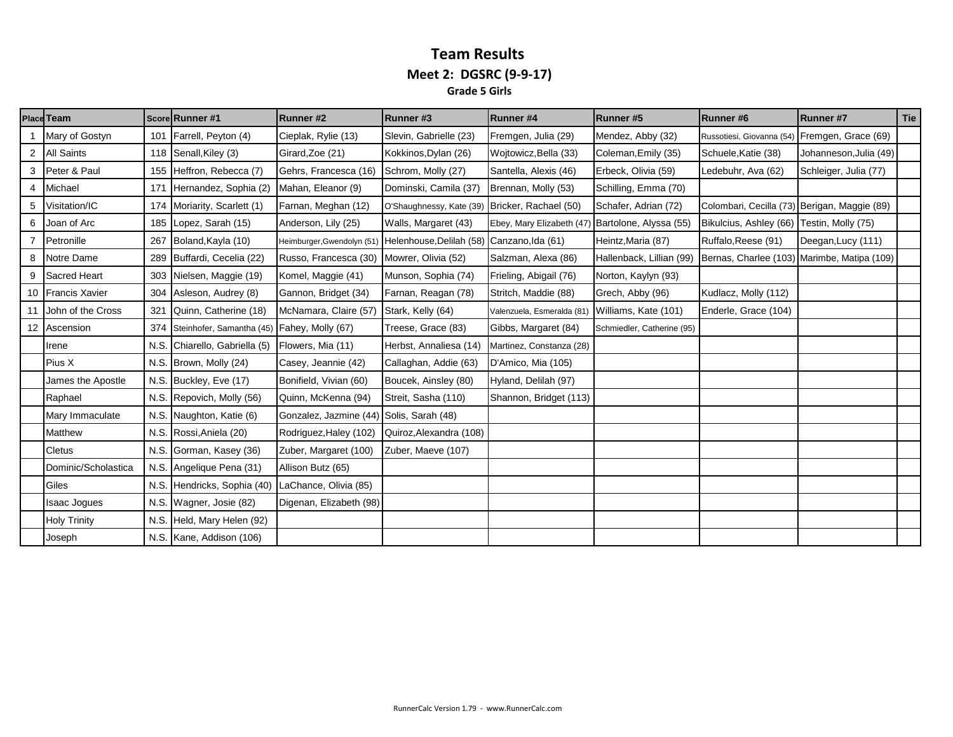#### **Team Results Meet 2: DGSRC (9-9-17) Grade 5 Girls**

|   | <b>Place Team</b>   |      | Score Runner #1                             | Runner#2                | Runner#3                                                              | <b>Runner#4</b>            | Runner#5                   | Runner#6                                      | <b>Runner#7</b>        | Tie |
|---|---------------------|------|---------------------------------------------|-------------------------|-----------------------------------------------------------------------|----------------------------|----------------------------|-----------------------------------------------|------------------------|-----|
|   | Mary of Gostyn      | 101  | Farrell, Peyton (4)                         | Cieplak, Rylie (13)     | Slevin, Gabrielle (23)                                                | Fremgen, Julia (29)        | Mendez, Abby (32)          | Russotiesi, Giovanna (54) Fremgen, Grace (69) |                        |     |
|   | <b>All Saints</b>   | 118  | Senall, Kiley (3)                           | Girard, Zoe (21)        | Kokkinos, Dylan (26)                                                  | Wojtowicz, Bella (33)      | Coleman, Emily (35)        | Schuele, Katie (38)                           | Johanneson, Julia (49) |     |
| 3 | Peter & Paul        | 155  | Heffron, Rebecca (7)                        | Gehrs, Francesca (16)   | Schrom, Molly (27)                                                    | Santella, Alexis (46)      | Erbeck, Olivia (59)        | Ledebuhr, Ava (62)                            | Schleiger, Julia (77)  |     |
|   | Michael             | 171  | Hernandez, Sophia (2)                       | Mahan, Eleanor (9)      | Dominski, Camila (37)                                                 | Brennan, Molly (53)        | Schilling, Emma (70)       |                                               |                        |     |
| 5 | Visitation/IC       | 174  | Moriarity, Scarlett (1)                     | Farnan, Meghan (12)     | O'Shaughnessy, Kate (39) Bricker, Rachael (50)                        |                            | Schafer, Adrian (72)       | Colombari, Cecilla (73) Berigan, Maggie (89)  |                        |     |
| 6 | Joan of Arc         | 185  | Lopez, Sarah (15)                           | Anderson, Lily (25)     | Walls, Margaret (43)                                                  | Ebey, Mary Elizabeth (47)  | Bartolone, Alyssa (55)     | Bikulcius, Ashley (66) Testin, Molly (75)     |                        |     |
|   | Petronille          | 267  | Boland, Kayla (10)                          |                         | Heimburger, Gwendolyn (51) Helenhouse, Delilah (58) Canzano, Ida (61) |                            | Heintz, Maria (87)         | Ruffalo, Reese (91)                           | Deegan, Lucy (111)     |     |
| 8 | Notre Dame          | 289  | Buffardi, Cecelia (22)                      | Russo, Francesca (30)   | Mowrer, Olivia (52)                                                   | Salzman, Alexa (86)        | Hallenback, Lillian (99)   | Bernas, Charlee (103) Marimbe, Matipa (109)   |                        |     |
| 9 | Sacred Heart        |      | 303 Nielsen, Maggie (19)                    | Komel, Maggie (41)      | Munson, Sophia (74)                                                   | Frieling, Abigail (76)     | Norton, Kaylyn (93)        |                                               |                        |     |
|   | 10 Francis Xavier   | 304  | Asleson, Audrey (8)                         | Gannon, Bridget (34)    | Farnan, Reagan (78)                                                   | Stritch, Maddie (88)       | Grech, Abby (96)           | Kudlacz, Molly (112)                          |                        |     |
|   | John of the Cross   | 321  | Quinn, Catherine (18)                       | McNamara, Claire (57)   | Stark, Kelly (64)                                                     | Valenzuela, Esmeralda (81) | Williams, Kate (101)       | Enderle, Grace (104)                          |                        |     |
|   | 12 Ascension        | 374  | Steinhofer, Samantha (45) Fahey, Molly (67) |                         | Treese, Grace (83)                                                    | Gibbs, Margaret (84)       | Schmiedler, Catherine (95) |                                               |                        |     |
|   | Irene               | N.S. | Chiarello, Gabriella (5)                    | Flowers, Mia (11)       | Herbst, Annaliesa (14)                                                | Martinez, Constanza (28)   |                            |                                               |                        |     |
|   | Pius X              |      | N.S. Brown, Molly (24)                      | Casey, Jeannie (42)     | Callaghan, Addie (63)                                                 | D'Amico, Mia (105)         |                            |                                               |                        |     |
|   | James the Apostle   | N.S. | Buckley, Eve (17)                           | Bonifield, Vivian (60)  | Boucek, Ainsley (80)                                                  | Hyland, Delilah (97)       |                            |                                               |                        |     |
|   | Raphael             |      | N.S. Repovich, Molly (56)                   | Quinn, McKenna (94)     | Streit, Sasha (110)                                                   | Shannon, Bridget (113)     |                            |                                               |                        |     |
|   | Mary Immaculate     | N.S. | Naughton, Katie (6)                         | Gonzalez, Jazmine (44)  | Solis, Sarah (48)                                                     |                            |                            |                                               |                        |     |
|   | Matthew             | N.S. | Rossi, Aniela (20)                          | Rodriguez, Haley (102)  | Quiroz, Alexandra (108)                                               |                            |                            |                                               |                        |     |
|   | <b>Cletus</b>       | N.S. | Gorman, Kasey (36)                          | Zuber, Margaret (100)   | Zuber, Maeve (107)                                                    |                            |                            |                                               |                        |     |
|   | Dominic/Scholastica |      | N.S. Angelique Pena (31)                    | Allison Butz (65)       |                                                                       |                            |                            |                                               |                        |     |
|   | Giles               | N.S. | Hendricks, Sophia (40)                      | LaChance, Olivia (85)   |                                                                       |                            |                            |                                               |                        |     |
|   | <b>Isaac Jogues</b> |      | N.S. Wagner, Josie (82)                     | Digenan, Elizabeth (98) |                                                                       |                            |                            |                                               |                        |     |
|   | <b>Holy Trinity</b> | N.S. | Held, Mary Helen (92)                       |                         |                                                                       |                            |                            |                                               |                        |     |
|   | Joseph              |      | N.S. Kane, Addison (106)                    |                         |                                                                       |                            |                            |                                               |                        |     |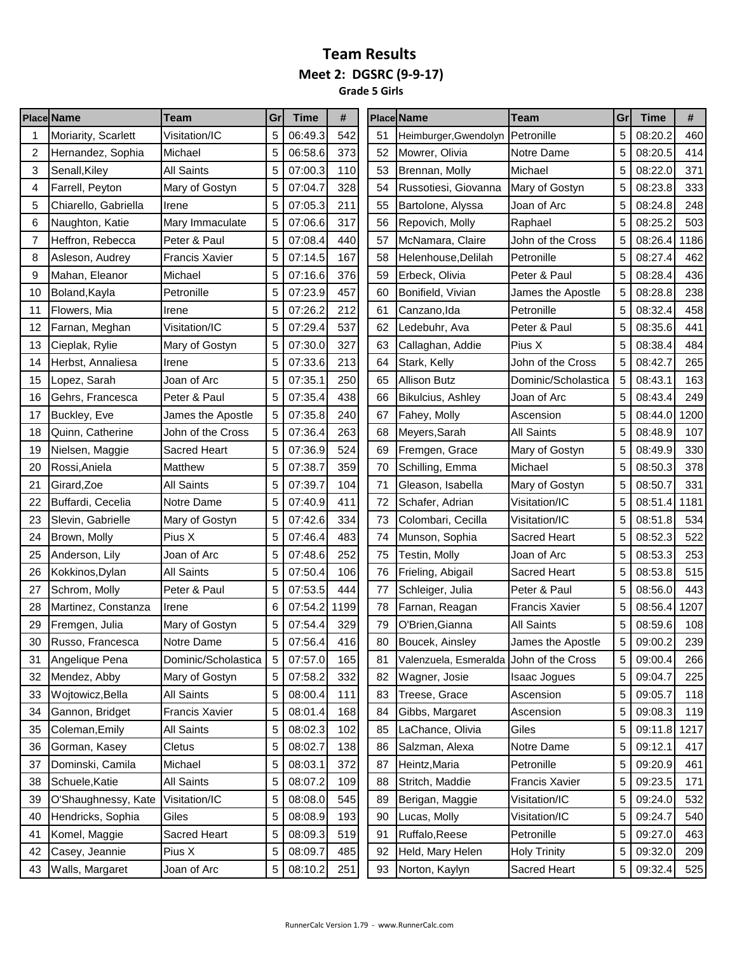**Grade 5 Girls** 

|    | <b>Place Name</b>    | Team                  | Gr | Time    | #    |    | <b>Place Name</b>                       | Team                  | Gr | <b>Time</b> | #    |
|----|----------------------|-----------------------|----|---------|------|----|-----------------------------------------|-----------------------|----|-------------|------|
|    | Moriarity, Scarlett  | Visitation/IC         | 5  | 06:49.3 | 542  | 51 | Heimburger, Gwendolyn                   | Petronille            | 5  | 08:20.2     | 460  |
| 2  | Hernandez, Sophia    | Michael               | 5  | 06:58.6 | 373  | 52 | Mowrer, Olivia                          | Notre Dame            | 5  | 08:20.5     | 414  |
| 3  | Senall.Kilev         | <b>All Saints</b>     | 5  | 07:00.3 | 110  | 53 | Brennan, Molly                          | Michael               | 5  | 08:22.0     | 371  |
| 4  | Farrell, Peyton      | Mary of Gostyn        | 5  | 07:04.7 | 328  | 54 | Russotiesi, Giovanna                    | Mary of Gostyn        | 5  | 08:23.8     | 333  |
| 5  | Chiarello, Gabriella | Irene                 | 5  | 07:05.3 | 211  | 55 | Bartolone, Alyssa                       | Joan of Arc           | 5  | 08:24.8     | 248  |
| 6  | Naughton, Katie      | Mary Immaculate       | 5  | 07:06.6 | 317  | 56 | Repovich, Molly                         | Raphael               | 5  | 08:25.2     | 503  |
| 7  | Heffron, Rebecca     | Peter & Paul          | 5  | 07:08.4 | 440  | 57 | McNamara, Claire                        | John of the Cross     | 5  | 08:26.4     | 1186 |
| 8  | Asleson, Audrey      | <b>Francis Xavier</b> | 5  | 07:14.5 | 167  | 58 | Helenhouse, Delilah                     | Petronille            | 5  | 08:27.4     | 462  |
| 9  | Mahan, Eleanor       | Michael               | 5  | 07:16.6 | 376  | 59 | Erbeck, Olivia                          | Peter & Paul          | 5  | 08:28.4     | 436  |
| 10 | Boland, Kayla        | Petronille            | 5  | 07:23.9 | 457  | 60 | Bonifield, Vivian                       | James the Apostle     | 5  | 08:28.8     | 238  |
| 11 | Flowers, Mia         | Irene                 | 5  | 07:26.2 | 212  | 61 | Canzano, Ida                            | Petronille            | 5  | 08:32.4     | 458  |
| 12 | Farnan, Meghan       | Visitation/IC         | 5  | 07:29.4 | 537  | 62 | Ledebuhr, Ava                           | Peter & Paul          | 5  | 08:35.6     | 441  |
| 13 | Cieplak, Rylie       | Mary of Gostyn        |    | 07:30.0 | 327  | 63 | Callaghan, Addie                        | Pius X                | 5  | 08:38.4     | 484  |
| 14 | Herbst, Annaliesa    | Irene                 | 5  | 07:33.6 | 213  | 64 | Stark, Kelly                            | John of the Cross     | 5  | 08:42.7     | 265  |
| 15 | Lopez, Sarah         | Joan of Arc           | 5  | 07:35.1 | 250  | 65 | Allison Butz                            | Dominic/Scholastica   | 5  | 08:43.1     | 163  |
| 16 | Gehrs, Francesca     | Peter & Paul          | 5  | 07:35.4 | 438  | 66 | <b>Bikulcius, Ashley</b>                | Joan of Arc           | 5  | 08:43.4     | 249  |
| 17 | Buckley, Eve         | James the Apostle     | 5  | 07:35.8 | 240  | 67 | Fahey, Molly                            | Ascension             | 5  | 08:44.0     | 1200 |
| 18 | Quinn, Catherine     | John of the Cross     | 5  | 07:36.4 | 263  | 68 | Meyers, Sarah                           | <b>All Saints</b>     | 5  | 08:48.9     | 107  |
| 19 | Nielsen, Maggie      | <b>Sacred Heart</b>   | 5  | 07:36.9 | 524  | 69 | Fremgen, Grace                          | Mary of Gostyn        | 5  | 08:49.9     | 330  |
| 20 | Rossi, Aniela        | Matthew               | 5  | 07:38.7 | 359  | 70 | Schilling, Emma                         | Michael               | 5  | 08:50.3     | 378  |
| 21 | Girard, Zoe          | <b>All Saints</b>     | 5  | 07:39.7 | 104  | 71 | Gleason, Isabella                       | Mary of Gostyn        | 5  | 08:50.7     | 331  |
| 22 | Buffardi, Cecelia    | Notre Dame            | 5  | 07:40.9 | 411  | 72 | Schafer, Adrian                         | Visitation/IC         | 5  | 08:51.4     | 1181 |
| 23 | Slevin, Gabrielle    | Mary of Gostyn        | 5  | 07:42.6 | 334  | 73 | Colombari, Cecilla                      | Visitation/IC         | 5  | 08:51.8     | 534  |
| 24 | Brown, Molly         | Pius X                | 5  | 07:46.4 | 483  | 74 | Munson, Sophia                          | <b>Sacred Heart</b>   | 5  | 08:52.3     | 522  |
| 25 | Anderson, Lily       | Joan of Arc           | 5  | 07:48.6 | 252  | 75 | Testin, Molly                           | Joan of Arc           | 5  | 08:53.3     | 253  |
| 26 | Kokkinos, Dylan      | <b>All Saints</b>     | 5  | 07:50.4 | 106  | 76 | Frieling, Abigail                       | Sacred Heart          | 5  | 08:53.8     | 515  |
| 27 | Schrom, Molly        | Peter & Paul          |    | 07:53.5 | 444  | 77 | Schleiger, Julia                        | Peter & Paul          | 5  | 08:56.0     | 443  |
| 28 | Martinez, Constanza  | Irene                 | 6  | 07:54.2 | 1199 | 78 | Farnan, Reagan                          | <b>Francis Xavier</b> | 5  | 08:56.4     | 1207 |
| 29 | Fremgen, Julia       | Mary of Gostyn        | 5  | 07:54.4 | 329  | 79 | O'Brien, Gianna                         | <b>All Saints</b>     | 5  | 08:59.6     | 108  |
| 30 | Russo, Francesca     | Notre Dame            | 5  | 07:56.4 | 416  | 80 | Boucek, Ainsley                         | James the Apostle     | 5  | 09:00.2     | 239  |
| 31 | Angelique Pena       | Dominic/Scholastica   | 5  | 07:57.0 | 165  | 81 | Valenzuela, Esmeralda John of the Cross |                       | 5  | 09:00.4     | 266  |
| 32 | Mendez, Abby         | Mary of Gostyn        | 5  | 07:58.2 | 332  | 82 | Wagner, Josie                           | <b>Isaac Jogues</b>   | 5  | 09:04.7     | 225  |
| 33 | Wojtowicz, Bella     | All Saints            | 5  | 08:00.4 | 111  | 83 | Treese, Grace                           | Ascension             | 5  | 09:05.7     | 118  |
| 34 | Gannon, Bridget      | Francis Xavier        | 5  | 08:01.4 | 168  | 84 | Gibbs, Margaret                         | Ascension             | 5  | 09:08.3     | 119  |
| 35 | Coleman, Emily       | <b>All Saints</b>     | 5  | 08:02.3 | 102  | 85 | LaChance, Olivia                        | Giles                 | 5  | 09:11.8     | 1217 |
| 36 | Gorman, Kasey        | Cletus                | 5  | 08:02.7 | 138  | 86 | Salzman, Alexa                          | Notre Dame            | 5  | 09:12.1     | 417  |
| 37 | Dominski, Camila     | Michael               | 5  | 08:03.1 | 372  | 87 | Heintz, Maria                           | Petronille            | 5  | 09:20.9     | 461  |
| 38 | Schuele, Katie       | All Saints            | 5  | 08:07.2 | 109  | 88 | Stritch, Maddie                         | <b>Francis Xavier</b> | 5  | 09:23.5     | 171  |
| 39 | O'Shaughnessy, Kate  | Visitation/IC         | 5  | 08:08.0 | 545  | 89 | Berigan, Maggie                         | Visitation/IC         | 5  | 09:24.0     | 532  |
| 40 | Hendricks, Sophia    | Giles                 | 5  | 08:08.9 | 193  | 90 | Lucas, Molly                            | Visitation/IC         | 5  | 09:24.7     | 540  |
| 41 | Komel, Maggie        | Sacred Heart          | 5  | 08:09.3 | 519  | 91 | Ruffalo, Reese                          | Petronille            | 5  | 09:27.0     | 463  |
| 42 | Casey, Jeannie       | Pius X                | 5  | 08:09.7 | 485  | 92 | Held, Mary Helen                        | <b>Holy Trinity</b>   | 5  | 09:32.0     | 209  |
| 43 | Walls, Margaret      | Joan of Arc           | 5  | 08:10.2 | 251  | 93 | Norton, Kaylyn                          | Sacred Heart          | 5  | 09:32.4     | 525  |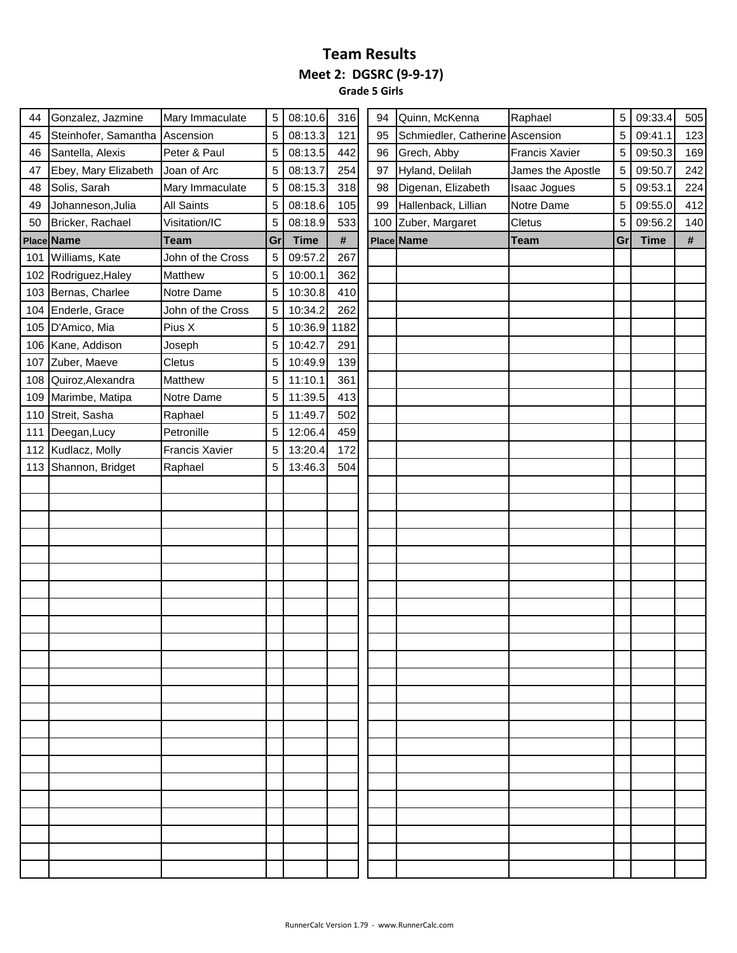**Grade 5 Girls** 

| 44 | Gonzalez, Jazmine              | Mary Immaculate       | 5  | 08:10.6     | 316  | 94 | Quinn, McKenna                  | Raphael               | 5  | 09:33.4     | 505        |
|----|--------------------------------|-----------------------|----|-------------|------|----|---------------------------------|-----------------------|----|-------------|------------|
| 45 | Steinhofer, Samantha Ascension |                       | 5  | 08:13.3     | 121  | 95 | Schmiedler, Catherine Ascension |                       | 5  | 09:41.1     | 123        |
| 46 | Santella, Alexis               | Peter & Paul          | 5  | 08:13.5     | 442  | 96 | Grech, Abby                     | <b>Francis Xavier</b> | 5  | 09:50.3     | 169        |
| 47 | Ebey, Mary Elizabeth           | Joan of Arc           | 5  | 08:13.7     | 254  | 97 | Hyland, Delilah                 | James the Apostle     | 5  | 09:50.7     | 242        |
| 48 | Solis, Sarah                   | Mary Immaculate       | 5  | 08:15.3     | 318  | 98 | Digenan, Elizabeth              | Isaac Jogues          | 5  | 09:53.1     | 224        |
| 49 | Johanneson, Julia              | All Saints            | 5  | 08:18.6     | 105  | 99 | Hallenback, Lillian             | Notre Dame            | 5  | 09:55.0     | 412        |
| 50 | Bricker, Rachael               | Visitation/IC         | 5  | 08:18.9     | 533  |    | 100 Zuber, Margaret             | Cletus                | 5  | 09:56.2     | 140        |
|    | Place Name                     | <b>Team</b>           | Gr | <b>Time</b> | $\#$ |    | Place Name                      | <b>Team</b>           | Gr | <b>Time</b> | $\pmb{\#}$ |
|    | 101 Williams, Kate             | John of the Cross     | 5  | 09:57.2     | 267  |    |                                 |                       |    |             |            |
|    | 102 Rodriguez, Haley           | Matthew               | 5  | 10:00.1     | 362  |    |                                 |                       |    |             |            |
|    | 103 Bernas, Charlee            | Notre Dame            | 5  | 10:30.8     | 410  |    |                                 |                       |    |             |            |
|    | 104 Enderle, Grace             | John of the Cross     | 5  | 10:34.2     | 262  |    |                                 |                       |    |             |            |
|    | 105 D'Amico, Mia               | Pius X                | 5  | 10:36.9     | 1182 |    |                                 |                       |    |             |            |
|    | 106 Kane, Addison              | Joseph                | 5  | 10:42.7     | 291  |    |                                 |                       |    |             |            |
|    | 107 Zuber, Maeve               | Cletus                | 5  | 10:49.9     | 139  |    |                                 |                       |    |             |            |
|    | 108 Quiroz, Alexandra          | Matthew               | 5  | 11:10.1     | 361  |    |                                 |                       |    |             |            |
|    | 109 Marimbe, Matipa            | Notre Dame            | 5  | 11:39.5     | 413  |    |                                 |                       |    |             |            |
|    | 110 Streit, Sasha              | Raphael               | 5  | 11:49.7     | 502  |    |                                 |                       |    |             |            |
|    | 111 Deegan, Lucy               | Petronille            | 5  | 12:06.4     | 459  |    |                                 |                       |    |             |            |
|    | 112 Kudlacz, Molly             | <b>Francis Xavier</b> | 5  | 13:20.4     | 172  |    |                                 |                       |    |             |            |
|    | 113 Shannon, Bridget           | Raphael               | 5  | 13:46.3     | 504  |    |                                 |                       |    |             |            |
|    |                                |                       |    |             |      |    |                                 |                       |    |             |            |
|    |                                |                       |    |             |      |    |                                 |                       |    |             |            |
|    |                                |                       |    |             |      |    |                                 |                       |    |             |            |
|    |                                |                       |    |             |      |    |                                 |                       |    |             |            |
|    |                                |                       |    |             |      |    |                                 |                       |    |             |            |
|    |                                |                       |    |             |      |    |                                 |                       |    |             |            |
|    |                                |                       |    |             |      |    |                                 |                       |    |             |            |
|    |                                |                       |    |             |      |    |                                 |                       |    |             |            |
|    |                                |                       |    |             |      |    |                                 |                       |    |             |            |
|    |                                |                       |    |             |      |    |                                 |                       |    |             |            |
|    |                                |                       |    |             |      |    |                                 |                       |    |             |            |
|    |                                |                       |    |             |      |    |                                 |                       |    |             |            |
|    |                                |                       |    |             |      |    |                                 |                       |    |             |            |
|    |                                |                       |    |             |      |    |                                 |                       |    |             |            |
|    |                                |                       |    |             |      |    |                                 |                       |    |             |            |
|    |                                |                       |    |             |      |    |                                 |                       |    |             |            |
|    |                                |                       |    |             |      |    |                                 |                       |    |             |            |
|    |                                |                       |    |             |      |    |                                 |                       |    |             |            |
|    |                                |                       |    |             |      |    |                                 |                       |    |             |            |
|    |                                |                       |    |             |      |    |                                 |                       |    |             |            |
|    |                                |                       |    |             |      |    |                                 |                       |    |             |            |
|    |                                |                       |    |             |      |    |                                 |                       |    |             |            |
|    |                                |                       |    |             |      |    |                                 |                       |    |             |            |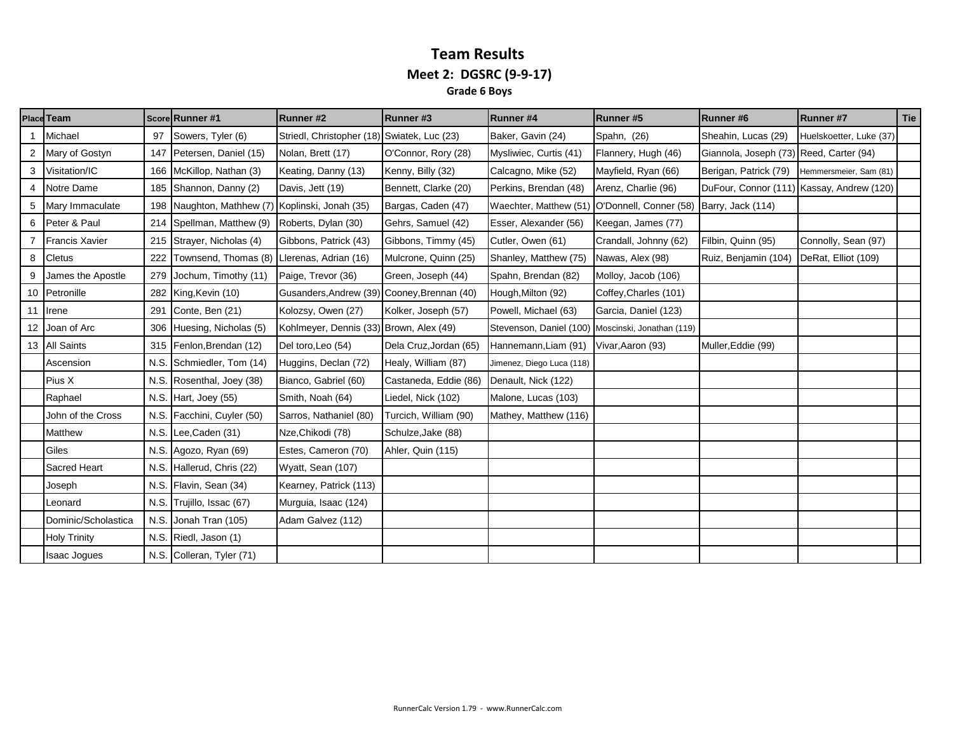#### **Team Results Meet 2: DGSRC (9-9-17) Grade 6 Boys**

|                 | Place Team            |      | Score Runner #1           | Runner #2                                   | Runner#3               | Runner #4                                         | Runner#5              | Runner#6                                | Runner #7                                 | Tie |
|-----------------|-----------------------|------|---------------------------|---------------------------------------------|------------------------|---------------------------------------------------|-----------------------|-----------------------------------------|-------------------------------------------|-----|
|                 | Michael               | 97   | Sowers, Tyler (6)         | Striedl, Christopher (18) Swiatek, Luc (23) |                        | Baker, Gavin (24)                                 | Spahn, (26)           | Sheahin, Lucas (29)                     | Huelskoetter, Luke (37)                   |     |
| 2               | Mary of Gostyn        | 147  | Petersen, Daniel (15)     | Nolan, Brett (17)                           | O'Connor, Rory (28)    | Mysliwiec, Curtis (41)                            | Flannery, Hugh (46)   | Giannola, Joseph (73) Reed, Carter (94) |                                           |     |
| 3               | Visitation/IC         | 166  | McKillop, Nathan (3)      | Keating, Danny (13)                         | Kenny, Billy (32)      | Calcagno, Mike (52)                               | Mayfield, Ryan (66)   | Berigan, Patrick (79)                   | Hemmersmeier, Sam (81)                    |     |
| 4               | Notre Dame            | 185  | Shannon, Danny (2)        | Davis, Jett (19)                            | Bennett, Clarke (20)   | Perkins, Brendan (48)                             | Arenz, Charlie (96)   |                                         | DuFour, Connor (111) Kassay, Andrew (120) |     |
| 5               | Mary Immaculate       | 198  | Naughton, Mathhew (7)     | Koplinski, Jonah (35)                       | Bargas, Caden (47)     | Waechter, Matthew (51) O'Donnell, Conner (58)     |                       | Barry, Jack (114)                       |                                           |     |
| 6               | Peter & Paul          | 214  | Spellman, Matthew (9)     | Roberts, Dylan (30)                         | Gehrs, Samuel (42)     | Esser, Alexander (56)                             | Keegan, James (77)    |                                         |                                           |     |
|                 | <b>Francis Xavier</b> | 215  | Strayer, Nicholas (4)     | Gibbons, Patrick (43)                       | Gibbons, Timmy (45)    | Cutler, Owen (61)                                 | Crandall, Johnny (62) | Filbin, Quinn (95)                      | Connolly, Sean (97)                       |     |
| 8               | <b>Cletus</b>         | 222  | Townsend, Thomas (8)      | Llerenas, Adrian (16)                       | Mulcrone, Quinn (25)   | Shanley, Matthew (75)                             | Nawas, Alex (98)      | Ruiz, Benjamin (104)                    | DeRat, Elliot (109)                       |     |
|                 | James the Apostle     | 279  | Jochum, Timothy (11)      | Paige, Trevor (36)                          | Green, Joseph (44)     | Spahn, Brendan (82)                               | Molloy, Jacob (106)   |                                         |                                           |     |
|                 | 10 Petronille         | 282  | King, Kevin (10)          | Gusanders, Andrew (39) Cooney, Brennan (40) |                        | Hough, Milton (92)                                | Coffey, Charles (101) |                                         |                                           |     |
|                 | 11 Irene              | 291  | Conte, Ben (21)           | Kolozsy, Owen (27)                          | Kolker, Joseph (57)    | Powell, Michael (63)                              | Garcia, Daniel (123)  |                                         |                                           |     |
| 12 <sup>1</sup> | Joan of Arc           | 306  | Huesing, Nicholas (5)     | Kohlmeyer, Dennis (33) Brown, Alex (49)     |                        | Stevenson, Daniel (100) Moscinski, Jonathan (119) |                       |                                         |                                           |     |
|                 | 13 All Saints         | 315  | Fenlon, Brendan (12)      | Del toro, Leo (54)                          | Dela Cruz, Jordan (65) | Hannemann, Liam (91)                              | Vivar, Aaron (93)     | Muller, Eddie (99)                      |                                           |     |
|                 | Ascension             | N.S. | Schmiedler, Tom (14)      | Huggins, Declan (72)                        | Healy, William (87)    | Jimenez, Diego Luca (118)                         |                       |                                         |                                           |     |
|                 | Pius X                | N.S. | Rosenthal, Joey (38)      | Bianco, Gabriel (60)                        | Castaneda, Eddie (86)  | Denault, Nick (122)                               |                       |                                         |                                           |     |
|                 | Raphael               |      | N.S. Hart, Joey $(55)$    | Smith, Noah (64)                            | Liedel, Nick (102)     | Malone, Lucas (103)                               |                       |                                         |                                           |     |
|                 | John of the Cross     | N.S. | Facchini, Cuyler (50)     | Sarros, Nathaniel (80)                      | Turcich, William (90)  | Mathey, Matthew (116)                             |                       |                                         |                                           |     |
|                 | Matthew               | N.S. | Lee, Caden (31)           | Nze, Chikodi (78)                           | Schulze, Jake (88)     |                                                   |                       |                                         |                                           |     |
|                 | Giles                 | N.S. | Agozo, Ryan (69)          | Estes, Cameron (70)                         | Ahler, Quin (115)      |                                                   |                       |                                         |                                           |     |
|                 | Sacred Heart          | N.S. | Hallerud, Chris (22)      | Wyatt, Sean (107)                           |                        |                                                   |                       |                                         |                                           |     |
|                 | Joseph                | N.S. | Flavin, Sean (34)         | Kearney, Patrick (113)                      |                        |                                                   |                       |                                         |                                           |     |
|                 | Leonard               | N.S. | Trujillo, Issac (67)      | Murguia, Isaac (124)                        |                        |                                                   |                       |                                         |                                           |     |
|                 | Dominic/Scholastica   | N.S. | Jonah Tran (105)          | Adam Galvez (112)                           |                        |                                                   |                       |                                         |                                           |     |
|                 | <b>Holy Trinity</b>   | N.S. | Riedl, Jason (1)          |                                             |                        |                                                   |                       |                                         |                                           |     |
|                 | <b>Isaac Jogues</b>   |      | N.S. Colleran, Tyler (71) |                                             |                        |                                                   |                       |                                         |                                           |     |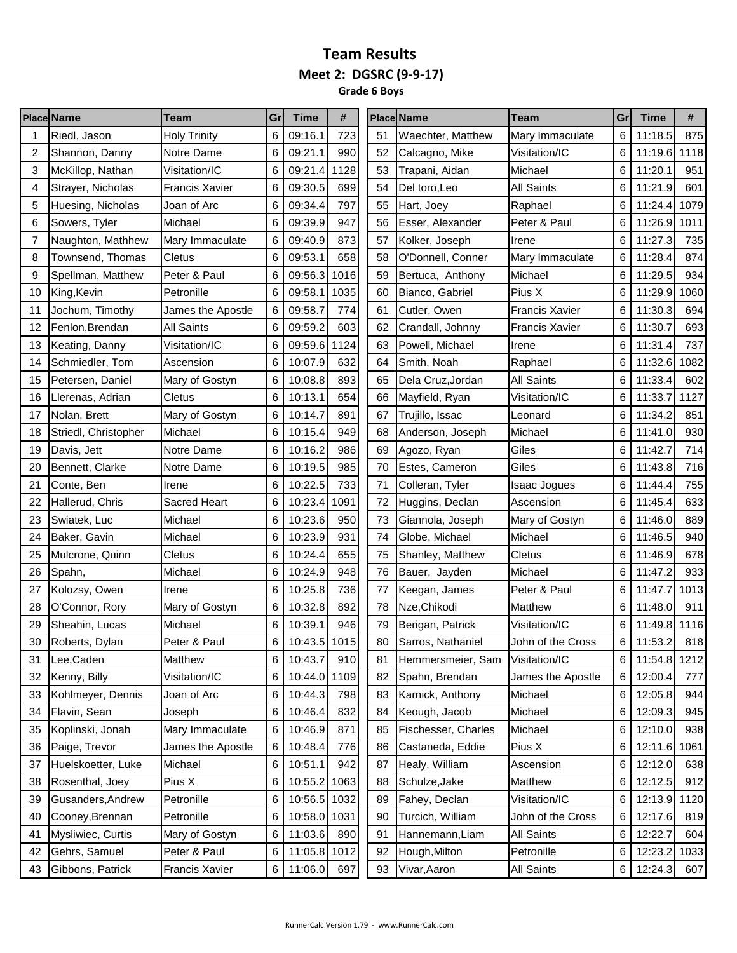**Grade 6 Boys**

|    | <b>Place Name</b>    | Team                  | Gr | <b>Time</b>  | #    |    |    | <b>Place Name</b>       | <b>Team</b>           | Gr | <b>Time</b>  | #    |
|----|----------------------|-----------------------|----|--------------|------|----|----|-------------------------|-----------------------|----|--------------|------|
|    | Riedl, Jason         | <b>Holy Trinity</b>   | 6  | 09:16.1      | 723  | 51 |    | Waechter, Matthew       | Mary Immaculate       | 6  | 11:18.5      | 875  |
| 2  | Shannon, Danny       | Notre Dame            | 6  | 09:21.1      | 990  |    | 52 | Calcagno, Mike          | Visitation/IC         | 6  | 11:19.6      | 1118 |
| 3  | McKillop, Nathan     | Visitation/IC         | 6  | 09:21.4      | 1128 |    | 53 | Trapani, Aidan          | Michael               | 6  | 11:20.1      | 951  |
| 4  | Strayer, Nicholas    | <b>Francis Xavier</b> | 6  | 09:30.5      | 699  | 54 |    | Del toro,Leo            | <b>All Saints</b>     | 6  | 11:21.9      | 601  |
| 5  | Huesing, Nicholas    | Joan of Arc           | 6  | 09:34.4      | 797  |    | 55 | Hart, Joey              | Raphael               | 6  | 11:24.4      | 1079 |
| 6  | Sowers, Tyler        | Michael               | 6  | 09:39.9      | 947  | 56 |    | <b>Esser, Alexander</b> | Peter & Paul          | 6  | 11:26.9      | 1011 |
| 7  | Naughton, Mathhew    | Mary Immaculate       | 6  | 09:40.9      | 873  | 57 |    | Kolker, Joseph          | Irene                 | 6  | 11:27.3      | 735  |
| 8  | Townsend, Thomas     | Cletus                | 6  | 09:53.1      | 658  | 58 |    | O'Donnell, Conner       | Mary Immaculate       | 6  | 11:28.4      | 874  |
| 9  | Spellman, Matthew    | Peter & Paul          | 6  | 09:56.3      | 1016 | 59 |    | Bertuca, Anthony        | Michael               | 6  | 11:29.5      | 934  |
| 10 | King, Kevin          | Petronille            | 6  | 09:58.1      | 1035 | 60 |    | Bianco, Gabriel         | Pius X                | 6  | 11:29.9      | 1060 |
| 11 | Jochum, Timothy      | James the Apostle     | 6  | 09:58.7      | 774  | 61 |    | Cutler, Owen            | <b>Francis Xavier</b> | 6  | 11:30.3      | 694  |
| 12 | Fenlon, Brendan      | <b>All Saints</b>     | 6  | 09:59.2      | 603  |    | 62 | Crandall, Johnny        | <b>Francis Xavier</b> | 6  | 11:30.7      | 693  |
| 13 | Keating, Danny       | Visitation/IC         | 6  | 09:59.6      | 1124 | 63 |    | Powell, Michael         | Irene                 | 6  | 11:31.4      | 737  |
| 14 | Schmiedler, Tom      | Ascension             | 6  | 10:07.9      | 632  |    | 64 | Smith, Noah             | Raphael               | 6  | 11:32.6      | 1082 |
| 15 | Petersen, Daniel     | Mary of Gostyn        | 6  | 10:08.8      | 893  |    | 65 | Dela Cruz, Jordan       | <b>All Saints</b>     | 6  | 11:33.4      | 602  |
| 16 | Llerenas, Adrian     | Cletus                | 6  | 10:13.1      | 654  |    | 66 | Mayfield, Ryan          | Visitation/IC         | 6  | 11:33.7      | 1127 |
| 17 | Nolan, Brett         | Mary of Gostyn        | 6  | 10:14.7      | 891  | 67 |    | Trujillo, Issac         | Leonard               | 6  | 11:34.2      | 851  |
| 18 | Striedl, Christopher | Michael               | 6  | 10:15.4      | 949  |    | 68 | Anderson, Joseph        | Michael               | 6  | 11:41.0      | 930  |
| 19 | Davis, Jett          | Notre Dame            | 6  | 10:16.2      | 986  | 69 |    | Agozo, Ryan             | Giles                 | 6  | 11:42.7      | 714  |
| 20 | Bennett, Clarke      | Notre Dame            | 6  | 10:19.5      | 985  | 70 |    | Estes, Cameron          | Giles                 | 6  | 11:43.8      | 716  |
| 21 | Conte, Ben           | Irene                 | 6  | 10:22.5      | 733  | 71 |    | Colleran, Tyler         | Isaac Jogues          | 6  | 11:44.4      | 755  |
| 22 | Hallerud, Chris      | <b>Sacred Heart</b>   | 6  | 10:23.4      | 1091 | 72 |    | Huggins, Declan         | Ascension             | 6  | 11:45.4      | 633  |
| 23 | Swiatek, Luc         | Michael               | 6  | 10:23.6      | 950  | 73 |    | Giannola, Joseph        | Mary of Gostyn        | 6  | 11:46.0      | 889  |
| 24 | Baker, Gavin         | Michael               | 6  | 10:23.9      | 931  |    | 74 | Globe, Michael          | Michael               | 6  | 11:46.5      | 940  |
| 25 | Mulcrone, Quinn      | Cletus                | 6  | 10:24.4      | 655  | 75 |    | Shanley, Matthew        | Cletus                | 6  | 11:46.9      | 678  |
| 26 | Spahn,               | Michael               | 6  | 10:24.9      | 948  | 76 |    | Bauer, Jayden           | Michael               | 6  | 11:47.2      | 933  |
| 27 | Kolozsy, Owen        | Irene                 | 6  | 10:25.8      | 736  | 77 |    | Keegan, James           | Peter & Paul          | 6  | 11:47.7      | 1013 |
| 28 | O'Connor, Rory       | Mary of Gostyn        | 6  | 10:32.8      | 892  | 78 |    | Nze, Chikodi            | Matthew               | 6  | 11:48.0      | 911  |
| 29 | Sheahin, Lucas       | Michael               | 6  | 10:39.1      | 946  | 79 |    | Berigan, Patrick        | Visitation/IC         | 6  | 11:49.8      | 1116 |
| 30 | Roberts, Dylan       | Peter & Paul          | 6  | 10:43.5 1015 |      |    | 80 | Sarros, Nathaniel       | John of the Cross     | 6  | 11:53.2      | 818  |
| 31 | Lee, Caden           | Matthew               | 6  | 10:43.7      | 910  | 81 |    | Hemmersmeier, Sam       | Visitation/IC         | 6  | 11:54.8 1212 |      |
| 32 | Kenny, Billy         | Visitation/IC         | 6  | 10:44.0      | 1109 | 82 |    | Spahn, Brendan          | James the Apostle     | 6  | 12:00.4      | 777  |
| 33 | Kohlmeyer, Dennis    | Joan of Arc           | 6  | 10:44.3      | 798  | 83 |    | Karnick, Anthony        | Michael               | 6  | 12:05.8      | 944  |
| 34 | Flavin, Sean         | Joseph                | 6  | 10:46.4      | 832  | 84 |    | Keough, Jacob           | Michael               | 6  | 12:09.3      | 945  |
| 35 | Koplinski, Jonah     | Mary Immaculate       | 6  | 10:46.9      | 871  | 85 |    | Fischesser, Charles     | Michael               | 6  | 12:10.0      | 938  |
| 36 | Paige, Trevor        | James the Apostle     | 6  | 10:48.4      | 776  | 86 |    | Castaneda, Eddie        | Pius X                | 6  | 12:11.6      | 1061 |
| 37 | Huelskoetter, Luke   | Michael               | 6  | 10:51.1      | 942  | 87 |    | Healy, William          | Ascension             | 6  | 12:12.0      | 638  |
| 38 | Rosenthal, Joey      | Pius X                | 6  | 10:55.2      | 1063 | 88 |    | Schulze, Jake           | Matthew               | 6  | 12:12.5      | 912  |
| 39 | Gusanders, Andrew    | Petronille            | 6  | 10:56.5 1032 |      | 89 |    | Fahey, Declan           | Visitation/IC         | 6  | 12:13.9      | 1120 |
| 40 | Cooney, Brennan      | Petronille            | 6  | 10:58.0      | 1031 | 90 |    | Turcich, William        | John of the Cross     | 6  | 12:17.6      | 819  |
| 41 | Mysliwiec, Curtis    | Mary of Gostyn        | 6  | 11:03.6      | 890  | 91 |    | Hannemann, Liam         | <b>All Saints</b>     | 6  | 12:22.7      | 604  |
| 42 | Gehrs, Samuel        | Peter & Paul          | 6  | 11:05.8 1012 |      | 92 |    | Hough, Milton           | Petronille            | 6  | 12:23.2      | 1033 |
| 43 | Gibbons, Patrick     | <b>Francis Xavier</b> | 6  | 11:06.0      | 697  |    | 93 | Vivar, Aaron            | All Saints            | 6  | 12:24.3      | 607  |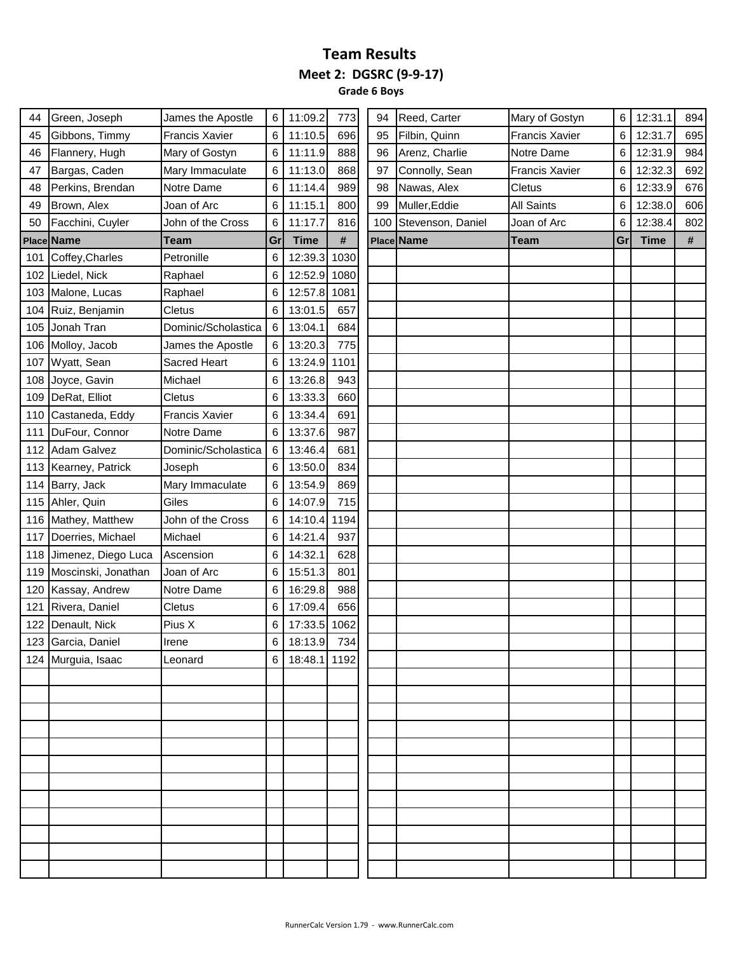**Grade 6 Boys**

| Green, Joseph       | James the Apostle     | 6                                                                  | 11:09.2     | 773  | 94                                                                                  |                | Mary of Gostyn                                  | 6  | 12:31.1     | 894 |
|---------------------|-----------------------|--------------------------------------------------------------------|-------------|------|-------------------------------------------------------------------------------------|----------------|-------------------------------------------------|----|-------------|-----|
| Gibbons, Timmy      | <b>Francis Xavier</b> | 6                                                                  | 11:10.5     | 696  | 95                                                                                  | Filbin, Quinn  | <b>Francis Xavier</b>                           | 6  | 12:31.7     | 695 |
| Flannery, Hugh      |                       | 6                                                                  | 11:11.9     | 888  | 96                                                                                  | Arenz, Charlie | Notre Dame                                      | 6  | 12:31.9     | 984 |
| Bargas, Caden       | Mary Immaculate       | 6                                                                  | 11:13.0     | 868  | 97                                                                                  | Connolly, Sean | <b>Francis Xavier</b>                           | 6  | 12:32.3     | 692 |
| Perkins, Brendan    |                       | 6                                                                  | 11:14.4     | 989  | 98                                                                                  | Nawas, Alex    | Cletus                                          | 6  | 12:33.9     | 676 |
| Brown, Alex         | Joan of Arc           | 6                                                                  | 11:15.1     | 800  | 99                                                                                  | Muller, Eddie  | All Saints                                      | 6  | 12:38.0     | 606 |
| Facchini, Cuyler    | John of the Cross     | 6                                                                  | 11:17.7     | 816  | 100                                                                                 |                | Joan of Arc                                     | 6  | 12:38.4     | 802 |
| Place Name          | Team                  | Gr                                                                 | <b>Time</b> | $\#$ |                                                                                     |                | <b>Team</b>                                     | Gr | <b>Time</b> | #   |
| Coffey, Charles     | Petronille            | 6                                                                  |             | 1030 |                                                                                     |                |                                                 |    |             |     |
| Liedel, Nick        | Raphael               | 6                                                                  |             | 1080 |                                                                                     |                |                                                 |    |             |     |
| Malone, Lucas       | Raphael               | 6                                                                  |             | 1081 |                                                                                     |                |                                                 |    |             |     |
| Ruiz, Benjamin      | Cletus                | 6                                                                  | 13:01.5     | 657  |                                                                                     |                |                                                 |    |             |     |
| Jonah Tran          | Dominic/Scholastica   | 6                                                                  | 13:04.1     | 684  |                                                                                     |                |                                                 |    |             |     |
| Molloy, Jacob       | James the Apostle     | 6                                                                  | 13:20.3     | 775  |                                                                                     |                |                                                 |    |             |     |
| Wyatt, Sean         | <b>Sacred Heart</b>   | 6                                                                  |             |      |                                                                                     |                |                                                 |    |             |     |
| Joyce, Gavin        | Michael               | 6                                                                  | 13:26.8     | 943  |                                                                                     |                |                                                 |    |             |     |
| DeRat, Elliot       | Cletus                | 6                                                                  | 13:33.3     | 660  |                                                                                     |                |                                                 |    |             |     |
| Castaneda, Eddy     | Francis Xavier        | 6                                                                  | 13:34.4     | 691  |                                                                                     |                |                                                 |    |             |     |
| DuFour, Connor      |                       | 6                                                                  | 13:37.6     | 987  |                                                                                     |                |                                                 |    |             |     |
| 112 Adam Galvez     | Dominic/Scholastica   | 6                                                                  | 13:46.4     | 681  |                                                                                     |                |                                                 |    |             |     |
| Kearney, Patrick    | Joseph                | 6                                                                  | 13:50.0     | 834  |                                                                                     |                |                                                 |    |             |     |
| Barry, Jack         | Mary Immaculate       | 6                                                                  | 13:54.9     | 869  |                                                                                     |                |                                                 |    |             |     |
| Ahler, Quin         | Giles                 | 6                                                                  | 14:07.9     | 715  |                                                                                     |                |                                                 |    |             |     |
| 116 Mathey, Matthew | John of the Cross     | 6                                                                  |             | 1194 |                                                                                     |                |                                                 |    |             |     |
| Doerries, Michael   |                       | 6                                                                  | 14:21.4     | 937  |                                                                                     |                |                                                 |    |             |     |
| Jimenez, Diego Luca |                       | 6                                                                  | 14:32.1     | 628  |                                                                                     |                |                                                 |    |             |     |
| Moscinski, Jonathan | Joan of Arc           | 6                                                                  | 15:51.3     | 801  |                                                                                     |                |                                                 |    |             |     |
| Kassay, Andrew      | Notre Dame            | 6                                                                  | 16:29.8     | 988  |                                                                                     |                |                                                 |    |             |     |
| Rivera, Daniel      | Cletus                | 6                                                                  | 17:09.4     | 656  |                                                                                     |                |                                                 |    |             |     |
| Denault, Nick       | Pius X                | 6                                                                  |             | 1062 |                                                                                     |                |                                                 |    |             |     |
| 123 Garcia, Daniel  | Irene                 | 6                                                                  | 18:13.9     | 734  |                                                                                     |                |                                                 |    |             |     |
| 124 Murguia, Isaac  | Leonard               | 6                                                                  |             |      |                                                                                     |                |                                                 |    |             |     |
|                     |                       |                                                                    |             |      |                                                                                     |                |                                                 |    |             |     |
|                     |                       |                                                                    |             |      |                                                                                     |                |                                                 |    |             |     |
|                     |                       |                                                                    |             |      |                                                                                     |                |                                                 |    |             |     |
|                     |                       |                                                                    |             |      |                                                                                     |                |                                                 |    |             |     |
|                     |                       |                                                                    |             |      |                                                                                     |                |                                                 |    |             |     |
|                     |                       |                                                                    |             |      |                                                                                     |                |                                                 |    |             |     |
|                     |                       |                                                                    |             |      |                                                                                     |                |                                                 |    |             |     |
|                     |                       |                                                                    |             |      |                                                                                     |                |                                                 |    |             |     |
|                     |                       |                                                                    |             |      |                                                                                     |                |                                                 |    |             |     |
|                     |                       |                                                                    |             |      |                                                                                     |                |                                                 |    |             |     |
|                     |                       |                                                                    |             |      |                                                                                     |                |                                                 |    |             |     |
|                     |                       |                                                                    |             |      |                                                                                     |                |                                                 |    |             |     |
|                     |                       | Mary of Gostyn<br>Notre Dame<br>Notre Dame<br>Michael<br>Ascension |             |      | 12:39.3<br>12:52.9<br>12:57.8<br>13:24.9 1101<br>14:10.4<br>17:33.5<br>18:48.1 1192 |                | Reed, Carter<br>Stevenson, Daniel<br>Place Name |    |             |     |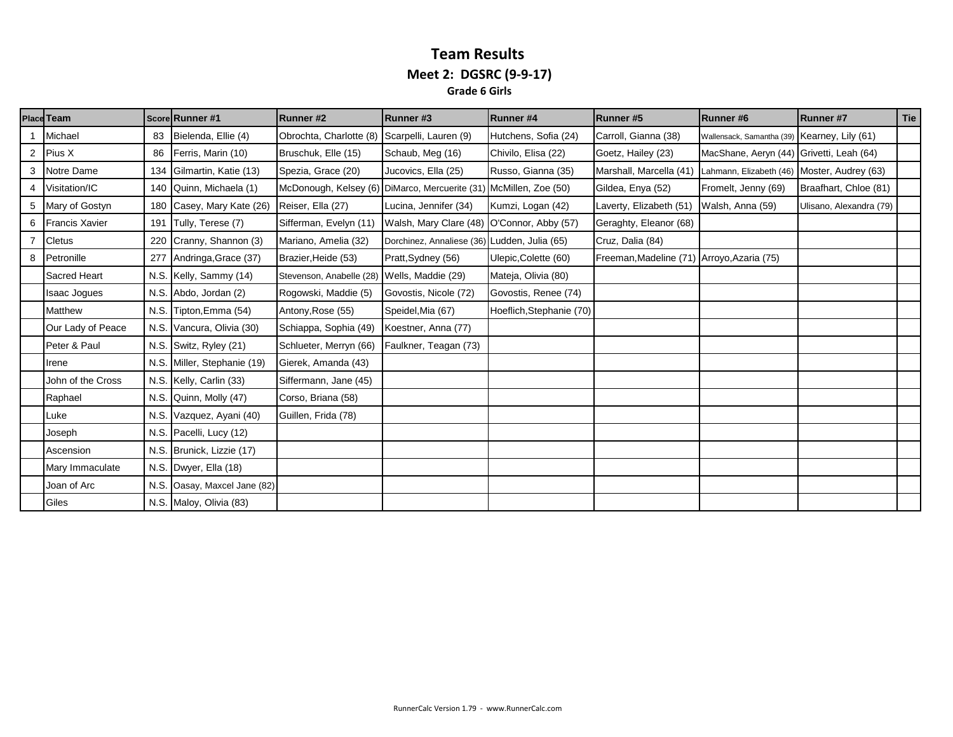#### **Team Results Meet 2: DGSRC (9-9-17) Grade 6 Girls**

|                | <b>Place Team</b>     |      | Score Runner #1             | Runner #2                                      | Runner#3                                     | Runner#4                 | Runner#5                | Runner#6                                     | Runner#7                | <b>Tie</b> |
|----------------|-----------------------|------|-----------------------------|------------------------------------------------|----------------------------------------------|--------------------------|-------------------------|----------------------------------------------|-------------------------|------------|
|                | Michael               | 83   | Bielenda, Ellie (4)         | Obrochta, Charlotte (8) Scarpelli, Lauren (9)  |                                              | Hutchens, Sofia (24)     | Carroll, Gianna (38)    | Wallensack, Samantha (39) Kearney, Lily (61) |                         |            |
| $\overline{2}$ | Pius X                | 86   | Ferris, Marin (10)          | Bruschuk, Elle (15)                            | Schaub, Meg (16)                             | Chivilo, Elisa (22)      | Goetz, Hailey (23)      | MacShane, Aeryn (44) Grivetti, Leah (64)     |                         |            |
|                | 3 Notre Dame          |      | 134 Gilmartin, Katie (13)   | Spezia, Grace (20)                             | Jucovics, Ella (25)                          | Russo, Gianna (35)       | Marshall, Marcella (41) | Lahmann, Elizabeth (46) Moster, Audrey (63)  |                         |            |
|                | Visitation/IC         |      | 140 Quinn, Michaela (1)     | McDonough, Kelsey (6) DiMarco, Mercuerite (31) |                                              | McMillen, Zoe (50)       | Gildea, Enya (52)       | Fromelt, Jenny (69)                          | Braafhart, Chloe (81)   |            |
|                | 5 Mary of Gostyn      |      | 180 Casey, Mary Kate (26)   | Reiser, Ella (27)                              | Lucina, Jennifer (34)                        | Kumzi, Logan (42)        | Laverty, Elizabeth (51) | Walsh, Anna (59)                             | Ulisano, Alexandra (79) |            |
| 6              | <b>Francis Xavier</b> | 191  | Tully, Terese (7)           | Sifferman, Evelyn (11)                         | Walsh, Mary Clare (48)                       | O'Connor, Abby (57)      | Geraghty, Eleanor (68)  |                                              |                         |            |
|                | <b>Cletus</b>         | 220  | Cranny, Shannon (3)         | Mariano, Amelia (32)                           | Dorchinez, Annaliese (36) Ludden, Julia (65) |                          | Cruz, Dalia (84)        |                                              |                         |            |
| 8              | Petronille            |      | 277 Andringa, Grace (37)    | Brazier, Heide (53)                            | Pratt, Sydney (56)                           | Ulepic, Colette (60)     | Freeman, Madeline (71)  | Arroyo, Azaria (75)                          |                         |            |
|                | <b>Sacred Heart</b>   |      | N.S. Kelly, Sammy (14)      | Stevenson, Anabelle (28) Wells, Maddie (29)    |                                              | Mateja, Olivia (80)      |                         |                                              |                         |            |
|                | <b>Isaac Jogues</b>   |      | N.S. Abdo, Jordan (2)       | Rogowski, Maddie (5)                           | Govostis, Nicole (72)                        | Govostis, Renee (74)     |                         |                                              |                         |            |
|                | <b>Matthew</b>        |      | N.S. Tipton, Emma (54)      | Antony, Rose (55)                              | Speidel, Mia (67)                            | Hoeflich, Stephanie (70) |                         |                                              |                         |            |
|                | Our Lady of Peace     |      | N.S. Vancura, Olivia (30)   | Schiappa, Sophia (49)                          | Koestner, Anna (77)                          |                          |                         |                                              |                         |            |
|                | Peter & Paul          |      | N.S. Switz, Ryley (21)      | Schlueter, Merryn (66)                         | Faulkner, Teagan (73)                        |                          |                         |                                              |                         |            |
|                | Irene                 |      | N.S. Miller, Stephanie (19) | Gierek, Amanda (43)                            |                                              |                          |                         |                                              |                         |            |
|                | John of the Cross     |      | N.S. Kelly, Carlin (33)     | Siffermann, Jane (45)                          |                                              |                          |                         |                                              |                         |            |
|                | Raphael               |      | N.S. Quinn, Molly (47)      | Corso, Briana (58)                             |                                              |                          |                         |                                              |                         |            |
|                | Luke                  |      | N.S. Vazquez, Ayani (40)    | Guillen, Frida (78)                            |                                              |                          |                         |                                              |                         |            |
|                | Joseph                |      | N.S. Pacelli, Lucy (12)     |                                                |                                              |                          |                         |                                              |                         |            |
|                | Ascension             |      | N.S. Brunick, Lizzie (17)   |                                                |                                              |                          |                         |                                              |                         |            |
|                | Mary Immaculate       |      | N.S. Dwyer, Ella (18)       |                                                |                                              |                          |                         |                                              |                         |            |
|                | Joan of Arc           | N.S. | Oasay, Maxcel Jane (82)     |                                                |                                              |                          |                         |                                              |                         |            |
|                | Giles                 |      | N.S. Maloy, Olivia (83)     |                                                |                                              |                          |                         |                                              |                         |            |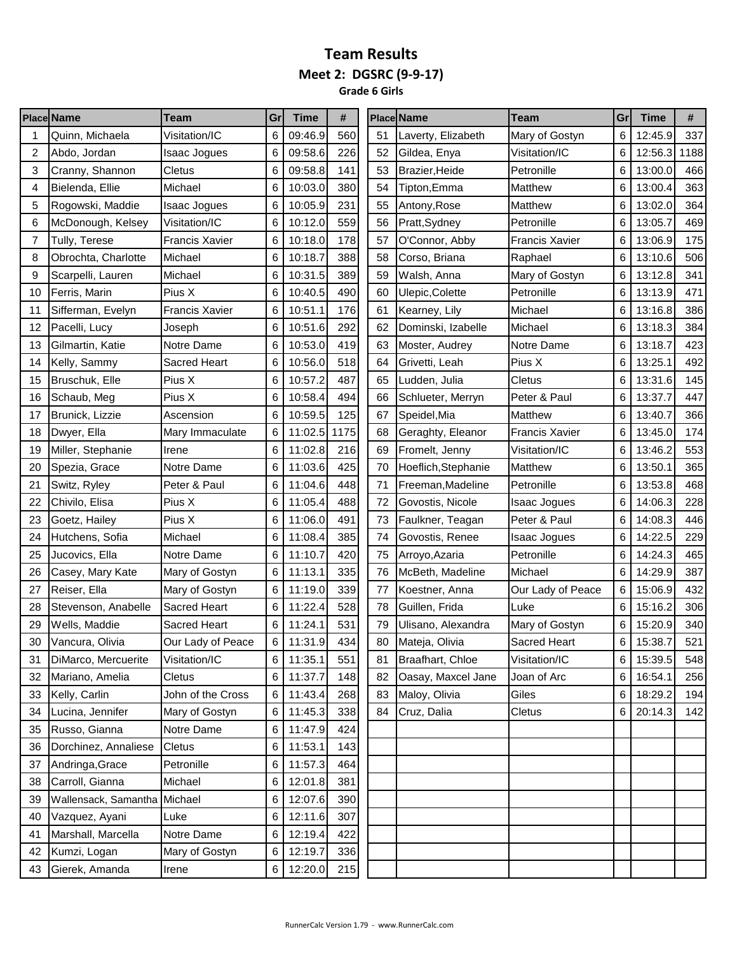#### **Team Results Meet 2: DGSRC (9-9-17) Grade 6 Girls**

|    | <b>Place Name</b>            | Team                  | Gr | <b>Time</b> | #    |    | <b>Place Name</b>   | Team                  | Gr | <b>Time</b> | #    |
|----|------------------------------|-----------------------|----|-------------|------|----|---------------------|-----------------------|----|-------------|------|
| 1  | Quinn, Michaela              | Visitation/IC         | 6  | 09:46.9     | 560  | 51 | Laverty, Elizabeth  | Mary of Gostyn        | 6  | 12:45.9     | 337  |
| 2  | Abdo, Jordan                 | Isaac Jogues          | 6  | 09:58.6     | 226  | 52 | Gildea, Enya        | Visitation/IC         | 6  | 12:56.3     | 1188 |
| 3  | Cranny, Shannon              | Cletus                | 6  | 09:58.8     | 141  | 53 | Brazier, Heide      | Petronille            | 6  | 13:00.0     | 466  |
| 4  | Bielenda, Ellie              | Michael               | 6  | 10:03.0     | 380  | 54 | Tipton.Emma         | Matthew               | 6  | 13:00.4     | 363  |
| 5  | Rogowski, Maddie             | Isaac Jogues          | 6  | 10:05.9     | 231  | 55 | Antony, Rose        | Matthew               | 6  | 13:02.0     | 364  |
| 6  | McDonough, Kelsey            | Visitation/IC         | 6  | 10:12.0     | 559  | 56 | Pratt, Sydney       | Petronille            | 6  | 13:05.7     | 469  |
| 7  | Tully, Terese                | <b>Francis Xavier</b> | 6  | 10:18.0     | 178  | 57 | O'Connor, Abby      | <b>Francis Xavier</b> | 6  | 13:06.9     | 175  |
| 8  | Obrochta, Charlotte          | Michael               | 6  | 10:18.7     | 388  | 58 | Corso, Briana       | Raphael               | 6  | 13:10.6     | 506  |
| 9  | Scarpelli, Lauren            | Michael               | 6  | 10:31.5     | 389  | 59 | Walsh, Anna         | Mary of Gostyn        | 6  | 13:12.8     | 341  |
| 10 | Ferris, Marin                | Pius X                | 6  | 10:40.5     | 490  | 60 | Ulepic, Colette     | Petronille            | 6  | 13:13.9     | 471  |
| 11 | Sifferman, Evelyn            | <b>Francis Xavier</b> | 6  | 10:51.1     | 176  | 61 | Kearney, Lily       | Michael               | 6  | 13:16.8     | 386  |
| 12 | Pacelli, Lucy                | Joseph                | 6  | 10:51.6     | 292  | 62 | Dominski, Izabelle  | Michael               | 6  | 13:18.3     | 384  |
| 13 | Gilmartin, Katie             | Notre Dame            | 6  | 10:53.0     | 419  | 63 | Moster, Audrey      | Notre Dame            | 6  | 13:18.7     | 423  |
| 14 | Kelly, Sammy                 | <b>Sacred Heart</b>   | 6  | 10:56.0     | 518  | 64 | Grivetti, Leah      | Pius X                | 6  | 13:25.1     | 492  |
| 15 | Bruschuk, Elle               | Pius X                | 6  | 10:57.2     | 487  | 65 | Ludden, Julia       | Cletus                | 6  | 13:31.6     | 145  |
| 16 | Schaub, Meg                  | Pius X                | 6  | 10:58.4     | 494  | 66 | Schlueter, Merryn   | Peter & Paul          | 6  | 13:37.7     | 447  |
| 17 | Brunick, Lizzie              | Ascension             | 6  | 10:59.5     | 125  | 67 | Speidel, Mia        | <b>Matthew</b>        | 6  | 13:40.7     | 366  |
| 18 | Dwyer, Ella                  | Mary Immaculate       | 6  | 11:02.5     | 1175 | 68 | Geraghty, Eleanor   | <b>Francis Xavier</b> | 6  | 13:45.0     | 174  |
| 19 | Miller, Stephanie            | Irene                 | 6  | 11:02.8     | 216  | 69 | Fromelt, Jenny      | Visitation/IC         | 6  | 13:46.2     | 553  |
| 20 | Spezia, Grace                | Notre Dame            | 6  | 11:03.6     | 425  | 70 | Hoeflich, Stephanie | Matthew               | 6  | 13:50.1     | 365  |
| 21 | Switz, Ryley                 | Peter & Paul          | 6  | 11:04.6     | 448  | 71 | Freeman, Madeline   | Petronille            | 6  | 13:53.8     | 468  |
| 22 | Chivilo, Elisa               | Pius X                | 6  | 11:05.4     | 488  | 72 | Govostis, Nicole    | Isaac Jogues          | 6  | 14:06.3     | 228  |
| 23 | Goetz, Hailey                | Pius X                | 6  | 11:06.0     | 491  | 73 | Faulkner, Teagan    | Peter & Paul          | 6  | 14:08.3     | 446  |
| 24 | Hutchens, Sofia              | Michael               | 6  | 11:08.4     | 385  | 74 | Govostis, Renee     | Isaac Jogues          | 6  | 14:22.5     | 229  |
| 25 | Jucovics, Ella               | Notre Dame            | 6  | 11:10.7     | 420  | 75 | Arroyo, Azaria      | Petronille            | 6  | 14:24.3     | 465  |
| 26 | Casey, Mary Kate             | Mary of Gostyn        | 6  | 11:13.1     | 335  | 76 | McBeth, Madeline    | Michael               | 6  | 14:29.9     | 387  |
| 27 | Reiser, Ella                 | Mary of Gostyn        | 6  | 11:19.0     | 339  | 77 | Koestner, Anna      | Our Lady of Peace     | 6  | 15:06.9     | 432  |
| 28 | Stevenson, Anabelle          | <b>Sacred Heart</b>   | 6  | 11:22.4     | 528  | 78 | Guillen, Frida      | Luke                  | 6  | 15:16.2     | 306  |
| 29 | Wells, Maddie                | <b>Sacred Heart</b>   | 6  | 11:24.1     | 531  | 79 | Ulisano, Alexandra  | Mary of Gostyn        | 6  | 15:20.9     | 340  |
| 30 | Vancura, Olivia              | Our Lady of Peace     | 6  | 11:31.9     | 434  | 80 | Mateja, Olivia      | Sacred Heart          | 6  | 15:38.7     | 521  |
| 31 | DiMarco, Mercuerite          | Visitation/IC         | 6  | 11:35.1     | 551  | 81 | Braafhart, Chloe    | Visitation/IC         | 6  | 15:39.5     | 548  |
| 32 | Mariano, Amelia              | Cletus                | 6  | 11:37.7     | 148  | 82 | Oasay, Maxcel Jane  | Joan of Arc           | 6  | 16:54.1     | 256  |
| 33 | Kelly, Carlin                | John of the Cross     | 6  | 11:43.4     | 268  | 83 | Maloy, Olivia       | Giles                 | 6  | 18:29.2     | 194  |
| 34 | Lucina, Jennifer             | Mary of Gostyn        | 6  | 11:45.3     | 338  | 84 | Cruz, Dalia         | Cletus                | 6  | 20:14.3     | 142  |
| 35 | Russo, Gianna                | Notre Dame            | 6  | 11:47.9     | 424  |    |                     |                       |    |             |      |
| 36 | Dorchinez, Annaliese         | Cletus                | 6  | 11:53.1     | 143  |    |                     |                       |    |             |      |
| 37 | Andringa, Grace              | Petronille            | 6  | 11:57.3     | 464  |    |                     |                       |    |             |      |
| 38 | Carroll, Gianna              | Michael               | 6  | 12:01.8     | 381  |    |                     |                       |    |             |      |
| 39 | Wallensack, Samantha Michael |                       | 6  | 12:07.6     | 390  |    |                     |                       |    |             |      |
| 40 | Vazquez, Ayani               | Luke                  | 6  | 12:11.6     | 307  |    |                     |                       |    |             |      |
| 41 | Marshall, Marcella           | Notre Dame            | 6  | 12:19.4     | 422  |    |                     |                       |    |             |      |
| 42 | Kumzi, Logan                 | Mary of Gostyn        | 6  | 12:19.7     | 336  |    |                     |                       |    |             |      |
| 43 | Gierek, Amanda               | Irene                 | 6  | 12:20.0     | 215  |    |                     |                       |    |             |      |
|    |                              |                       |    |             |      |    |                     |                       |    |             |      |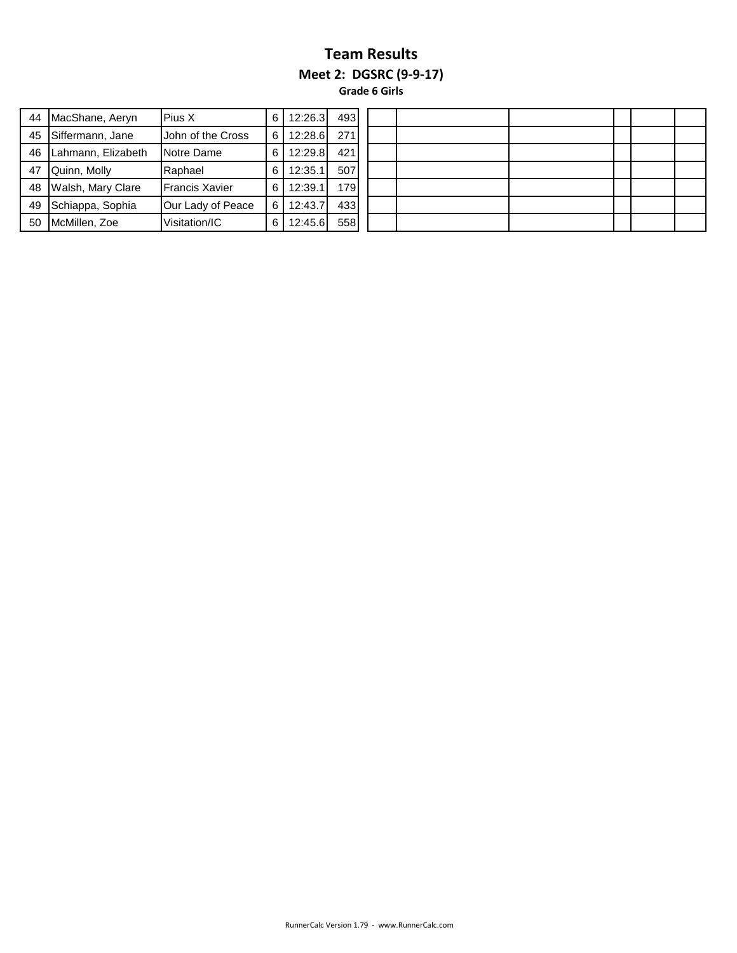#### **Team Results Meet 2: DGSRC (9-9-17) Grade 6 Girls**

| 44 | MacShane, Aeryn    | Pius X                | 6 | 12:26.3 | 493 |
|----|--------------------|-----------------------|---|---------|-----|
| 45 | Siffermann, Jane   | John of the Cross     | 6 | 12:28.6 | 271 |
| 46 | Lahmann, Elizabeth | Notre Dame            | 6 | 12:29.8 | 421 |
| 47 | Quinn, Molly       | Raphael               | 6 | 12:35.1 | 507 |
| 48 | Walsh, Mary Clare  | <b>Francis Xavier</b> | 6 | 12:39.1 | 179 |
| 49 | Schiappa, Sophia   | Our Lady of Peace     | 6 | 12:43.7 | 433 |
| 50 | McMillen, Zoe      | Visitation/IC         | 6 | 12:45.6 | 558 |

| 493 |  |  |  |
|-----|--|--|--|
| 271 |  |  |  |
| 421 |  |  |  |
| 507 |  |  |  |
| 179 |  |  |  |
| 433 |  |  |  |
| 558 |  |  |  |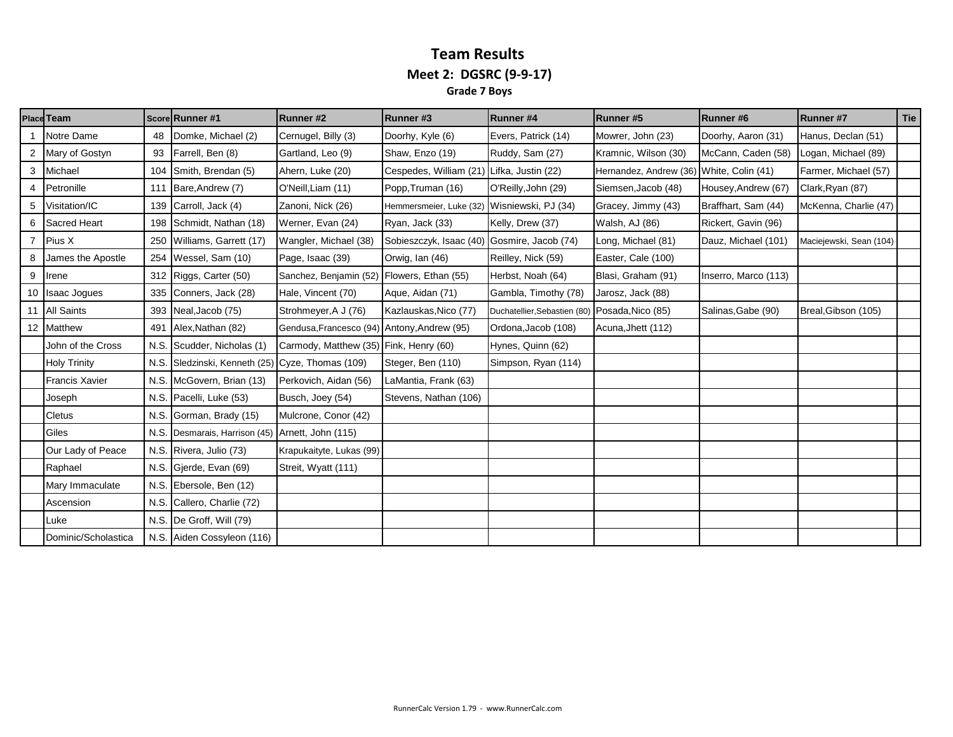#### **Team Results Meet 2: DGSRC (9-9-17) Grade 7 Boys**

|   | Place Team            |      | Score Runner #1                                  | <b>Runner#2</b>                             | Runner#3                | <b>Runner#4</b>              | Runner#5                                 | Runner#6             | Runner #7               | Tie |
|---|-----------------------|------|--------------------------------------------------|---------------------------------------------|-------------------------|------------------------------|------------------------------------------|----------------------|-------------------------|-----|
|   | Notre Dame            | 48   | Domke, Michael (2)                               | Cernugel, Billy (3)                         | Doorhy, Kyle (6)        | Evers, Patrick (14)          | Mowrer, John (23)                        | Doorhy, Aaron (31)   | Hanus, Declan (51)      |     |
|   | 2 Mary of Gostyn      | 93   | Farrell, Ben (8)                                 | Gartland, Leo (9)                           | Shaw, Enzo (19)         | Ruddy, Sam (27)              | Kramnic, Wilson (30)                     | McCann, Caden (58)   | Logan, Michael (89)     |     |
|   | 3 Michael             | 104  | Smith, Brendan (5)                               | Ahern, Luke (20)                            | Cespedes, William (21)  | Lifka, Justin (22)           | Hernandez, Andrew (36) White, Colin (41) |                      | Farmer, Michael (57)    |     |
|   | Petronille            | 111  | Bare, Andrew (7)                                 | O'Neill, Liam (11)                          | Popp, Truman (16)       | O'Reilly, John (29)          | Siemsen, Jacob (48)                      | Housey, Andrew (67)  | Clark, Ryan (87)        |     |
| 5 | Visitation/IC         | 139  | Carroll, Jack (4)                                | Zanoni, Nick (26)                           | Hemmersmeier, Luke (32) | Wisniewski, PJ (34)          | Gracey, Jimmy (43)                       | Braffhart, Sam (44)  | McKenna, Charlie (47)   |     |
|   | 6 Sacred Heart        |      | 198 Schmidt, Nathan (18)                         | Werner, Evan (24)                           | Ryan, Jack (33)         | Kelly, Drew (37)             | Walsh, AJ (86)                           | Rickert, Gavin (96)  |                         |     |
|   | 7 Pius X              |      | 250 Williams, Garrett (17)                       | Wangler, Michael (38)                       | Sobieszczyk, Isaac (40) | Gosmire, Jacob (74)          | Long, Michael (81)                       | Dauz, Michael (101)  | Maciejewski, Sean (104) |     |
| 8 | James the Apostle     | 254  | Wessel, Sam (10)                                 | Page, Isaac (39)                            | Orwig, Ian (46)         | Reilley, Nick (59)           | Easter, Cale (100)                       |                      |                         |     |
| 9 | Irene                 |      | 312 Riggs, Carter (50)                           | Sanchez, Benjamin (52) Flowers, Ethan (55)  |                         | Herbst, Noah (64)            | Blasi, Graham (91)                       | Inserro, Marco (113) |                         |     |
|   | 10 Isaac Jogues       |      | 335 Conners, Jack (28)                           | Hale, Vincent (70)                          | Aque, Aidan (71)        | Gambla, Timothy (78)         | Jarosz, Jack (88)                        |                      |                         |     |
|   | 11 All Saints         |      | 393 Neal, Jacob (75)                             | Strohmeyer, A J (76)                        | Kazlauskas, Nico (77)   | Duchatellier, Sebastien (80) | Posada, Nico (85)                        | Salinas, Gabe (90)   | Breal, Gibson (105)     |     |
|   | 12 Matthew            | 491  | Alex, Nathan (82)                                | Gendusa, Francesco (94) Antony, Andrew (95) |                         | Ordona, Jacob (108)          | Acuna, Jhett (112)                       |                      |                         |     |
|   | John of the Cross     |      | N.S. Scudder, Nicholas (1)                       | Carmody, Matthew (35) Fink, Henry (60)      |                         | Hynes, Quinn (62)            |                                          |                      |                         |     |
|   | <b>Holy Trinity</b>   |      | N.S. Sledzinski, Kenneth (25) Cyze, Thomas (109) |                                             | Steger, Ben (110)       | Simpson, Ryan (114)          |                                          |                      |                         |     |
|   | <b>Francis Xavier</b> |      | N.S. McGovern, Brian (13)                        | Perkovich, Aidan (56)                       | LaMantia, Frank (63)    |                              |                                          |                      |                         |     |
|   | Joseph                |      | N.S. Pacelli, Luke (53)                          | Busch, Joey (54)                            | Stevens, Nathan (106)   |                              |                                          |                      |                         |     |
|   | Cletus                | N.S. | Gorman, Brady (15)                               | Mulcrone, Conor (42)                        |                         |                              |                                          |                      |                         |     |
|   | Giles                 | N.S. | Desmarais, Harrison (45) Arnett, John (115)      |                                             |                         |                              |                                          |                      |                         |     |
|   | Our Lady of Peace     |      | N.S. Rivera, Julio (73)                          | Krapukaityte, Lukas (99)                    |                         |                              |                                          |                      |                         |     |
|   | Raphael               |      | N.S. Gjerde, Evan (69)                           | Streit, Wyatt (111)                         |                         |                              |                                          |                      |                         |     |
|   | Mary Immaculate       | N.S. | Ebersole, Ben (12)                               |                                             |                         |                              |                                          |                      |                         |     |
|   | Ascension             |      | N.S. Callero, Charlie (72)                       |                                             |                         |                              |                                          |                      |                         |     |
|   | Luke                  |      | N.S. De Groff, Will (79)                         |                                             |                         |                              |                                          |                      |                         |     |
|   | Dominic/Scholastica   |      | N.S. Aiden Cossyleon (116)                       |                                             |                         |                              |                                          |                      |                         |     |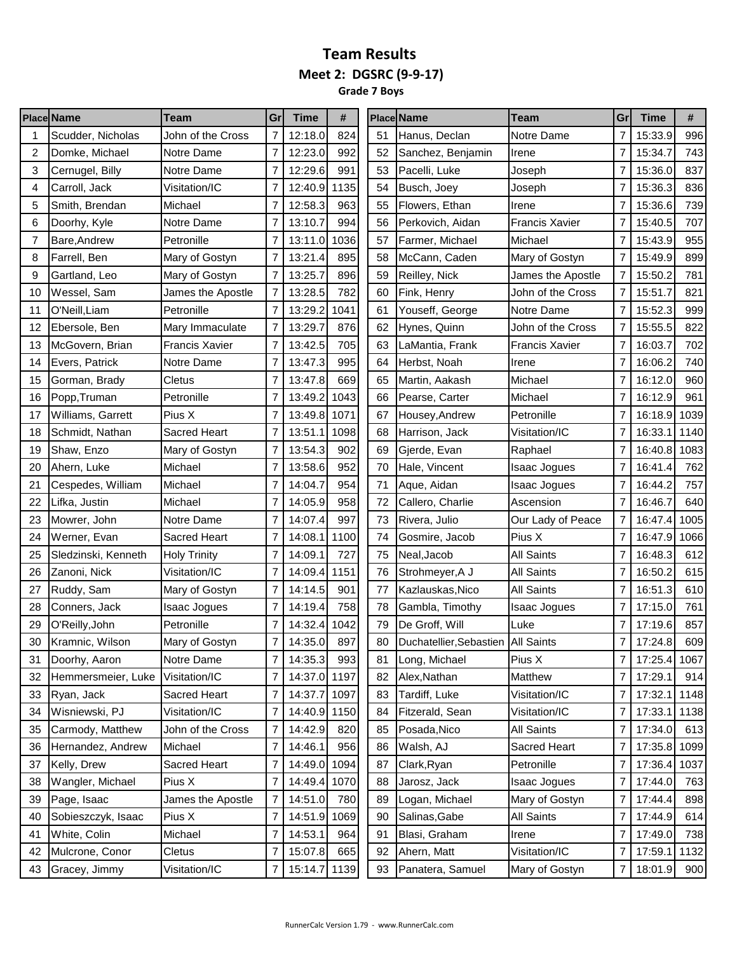**Grade 7 Boys**

|    | <b>Place Name</b>   | Team                  | Gr             | Time         | #    |    | <b>Place Name</b>                  | Team                  | Gr             | Time         | #    |
|----|---------------------|-----------------------|----------------|--------------|------|----|------------------------------------|-----------------------|----------------|--------------|------|
|    | Scudder, Nicholas   | John of the Cross     |                | 12:18.0      | 824  | 51 | Hanus, Declan                      | Notre Dame            | 7              | 15:33.9      | 996  |
| 2  | Domke, Michael      | Notre Dame            | 7              | 12:23.0      | 992  | 52 | Sanchez, Benjamin                  | Irene                 | 7              | 15:34.7      | 743  |
| 3  | Cernugel, Billy     | Notre Dame            |                | 12:29.6      | 991  | 53 | Pacelli, Luke                      | Joseph                | 7              | 15:36.0      | 837  |
| 4  | Carroll, Jack       | Visitation/IC         |                | 12:40.9      | 1135 | 54 | Busch, Joey                        | Joseph                | 7              | 15:36.3      | 836  |
| 5  | Smith, Brendan      | Michael               | 7              | 12:58.3      | 963  | 55 | Flowers, Ethan                     | Irene                 | 7              | 15:36.6      | 739  |
| 6  | Doorhy, Kyle        | Notre Dame            | 7              | 13:10.7      | 994  | 56 | Perkovich, Aidan                   | <b>Francis Xavier</b> | 7              | 15:40.5      | 707  |
| 7  | Bare, Andrew        | Petronille            |                | 13:11.0      | 1036 | 57 | Farmer, Michael                    | Michael               | 7              | 15:43.9      | 955  |
| 8  | Farrell, Ben        | Mary of Gostyn        |                | 13:21.4      | 895  | 58 | McCann, Caden                      | Mary of Gostyn        | 7              | 15:49.9      | 899  |
| 9  | Gartland, Leo       | Mary of Gostyn        | 7              | 13:25.7      | 896  | 59 | Reilley, Nick                      | James the Apostle     | 7              | 15:50.2      | 781  |
| 10 | Wessel, Sam         | James the Apostle     |                | 13:28.5      | 782  | 60 | Fink, Henry                        | John of the Cross     | 7              | 15:51.7      | 821  |
| 11 | O'Neill, Liam       | Petronille            | 7              | 13:29.2      | 1041 | 61 | Youseff, George                    | Notre Dame            | 7              | 15:52.3      | 999  |
| 12 | Ebersole, Ben       | Mary Immaculate       | 7              | 13:29.7      | 876  | 62 | Hynes, Quinn                       | John of the Cross     | 7              | 15:55.5      | 822  |
| 13 | McGovern, Brian     | <b>Francis Xavier</b> |                | 13:42.5      | 705  | 63 | LaMantia, Frank                    | Francis Xavier        | 7              | 16:03.7      | 702  |
| 14 | Evers, Patrick      | Notre Dame            | 7              | 13:47.3      | 995  | 64 | Herbst, Noah                       | Irene                 | 7              | 16:06.2      | 740  |
| 15 | Gorman, Brady       | Cletus                |                | 13:47.8      | 669  | 65 | Martin, Aakash                     | Michael               | 7              | 16:12.0      | 960  |
| 16 | Popp, Truman        | Petronille            |                | 13:49.2      | 1043 | 66 | Pearse, Carter                     | Michael               | 7              | 16:12.9      | 961  |
| 17 | Williams, Garrett   | Pius X                | 7              | 13:49.8      | 1071 | 67 | Housey, Andrew                     | Petronille            | 7              | 16:18.9      | 1039 |
| 18 | Schmidt, Nathan     | Sacred Heart          | 7              | 13:51.1      | 1098 | 68 | Harrison, Jack                     | Visitation/IC         | 7              | 16:33.1      | 1140 |
| 19 | Shaw, Enzo          | Mary of Gostyn        |                | 13:54.3      | 902  | 69 | Gjerde, Evan                       | Raphael               | 7              | 16:40.8      | 1083 |
| 20 | Ahern, Luke         | Michael               |                | 13:58.6      | 952  | 70 | Hale, Vincent                      | Isaac Jogues          | 7              | 16:41.4      | 762  |
| 21 | Cespedes, William   | Michael               |                | 14:04.7      | 954  | 71 | Aque, Aidan                        | Isaac Jogues          | 7              | 16:44.2      | 757  |
| 22 | Lifka, Justin       | Michael               |                | 14:05.9      | 958  | 72 | Callero, Charlie                   | Ascension             | 7              | 16:46.7      | 640  |
| 23 | Mowrer, John        | Notre Dame            |                | 14:07.4      | 997  | 73 | Rivera, Julio                      | Our Lady of Peace     | 7              | 16:47.4      | 1005 |
| 24 | Werner, Evan        | <b>Sacred Heart</b>   | 7              | 14:08.1      | 1100 | 74 | Gosmire, Jacob                     | Pius X                | 7              | 16:47.9      | 1066 |
| 25 | Sledzinski, Kenneth | <b>Holy Trinity</b>   |                | 14:09.1      | 727  | 75 | Neal, Jacob                        | <b>All Saints</b>     | 7              | 16:48.3      | 612  |
| 26 | Zanoni, Nick        | Visitation/IC         |                | 14:09.4      | 1151 | 76 | Strohmeyer, A J                    | <b>All Saints</b>     | 7              | 16:50.2      | 615  |
| 27 | Ruddy, Sam          | Mary of Gostyn        |                | 14:14.5      | 901  | 77 | Kazlauskas, Nico                   | <b>All Saints</b>     | 7              | 16:51.3      | 610  |
| 28 | Conners, Jack       | Isaac Jogues          | 7              | 14:19.4      | 758  | 78 | Gambla, Timothy                    | Isaac Jogues          | 7              | 17:15.0      | 761  |
| 29 | O'Reilly, John      | Petronille            |                | 14:32.4      | 1042 | 79 | De Groff, Will                     | Luke                  | 7              | 17:19.6      | 857  |
| 30 | Kramnic, Wilson     | Mary of Gostyn        | $\overline{7}$ | 14:35.0      | 897  | 80 | Duchatellier, Sebastien All Saints |                       | $\overline{7}$ | 17:24.8      | 609  |
| 31 | Doorhy, Aaron       | Notre Dame            | $\overline{7}$ | 14:35.3      | 993  | 81 | Long, Michael                      | Pius X                | 7              | 17:25.4 1067 |      |
| 32 | Hemmersmeier, Luke  | Visitation/IC         |                | 14:37.0 1197 |      | 82 | Alex, Nathan                       | Matthew               | 7              | 17:29.1      | 914  |
| 33 | Ryan, Jack          | Sacred Heart          | 7              | 14:37.7 1097 |      | 83 | Tardiff, Luke                      | Visitation/IC         | 7              | 17:32.1      | 1148 |
| 34 | Wisniewski, PJ      | Visitation/IC         | 7              | 14:40.9 1150 |      | 84 | Fitzerald, Sean                    | Visitation/IC         | 7              | 17:33.1      | 1138 |
| 35 | Carmody, Matthew    | John of the Cross     | 7              | 14:42.9      | 820  | 85 | Posada, Nico                       | <b>All Saints</b>     | $\overline{7}$ | 17:34.0      | 613  |
| 36 | Hernandez, Andrew   | Michael               | 7              | 14:46.1      | 956  | 86 | Walsh, AJ                          | Sacred Heart          | 7              | 17:35.8 1099 |      |
| 37 | Kelly, Drew         | Sacred Heart          | 7              | 14:49.0      | 1094 | 87 | Clark, Ryan                        | Petronille            | 7              | 17:36.4      | 1037 |
| 38 | Wangler, Michael    | Pius X                |                | 14:49.4 1070 |      | 88 | Jarosz, Jack                       | <b>Isaac Jogues</b>   | 7              | 17:44.0      | 763  |
| 39 | Page, Isaac         | James the Apostle     |                | 14:51.0      | 780  | 89 | Logan, Michael                     | Mary of Gostyn        | 7              | 17:44.4      | 898  |
| 40 | Sobieszczyk, Isaac  | Pius X                | $\overline{7}$ | 14:51.9      | 1069 | 90 | Salinas, Gabe                      | All Saints            | 7              | 17:44.9      | 614  |
| 41 | White, Colin        | Michael               | 7              | 14:53.1      | 964  | 91 | Blasi, Graham                      | Irene                 | 7              | 17:49.0      | 738  |
| 42 | Mulcrone, Conor     | Cletus                | 7              | 15:07.8      | 665  | 92 | Ahern, Matt                        | Visitation/IC         | 7              | 17:59.1      | 1132 |
| 43 | Gracey, Jimmy       | Visitation/IC         | 7              | 15:14.7      | 1139 | 93 | Panatera, Samuel                   | Mary of Gostyn        | 7              | 18:01.9      | 900  |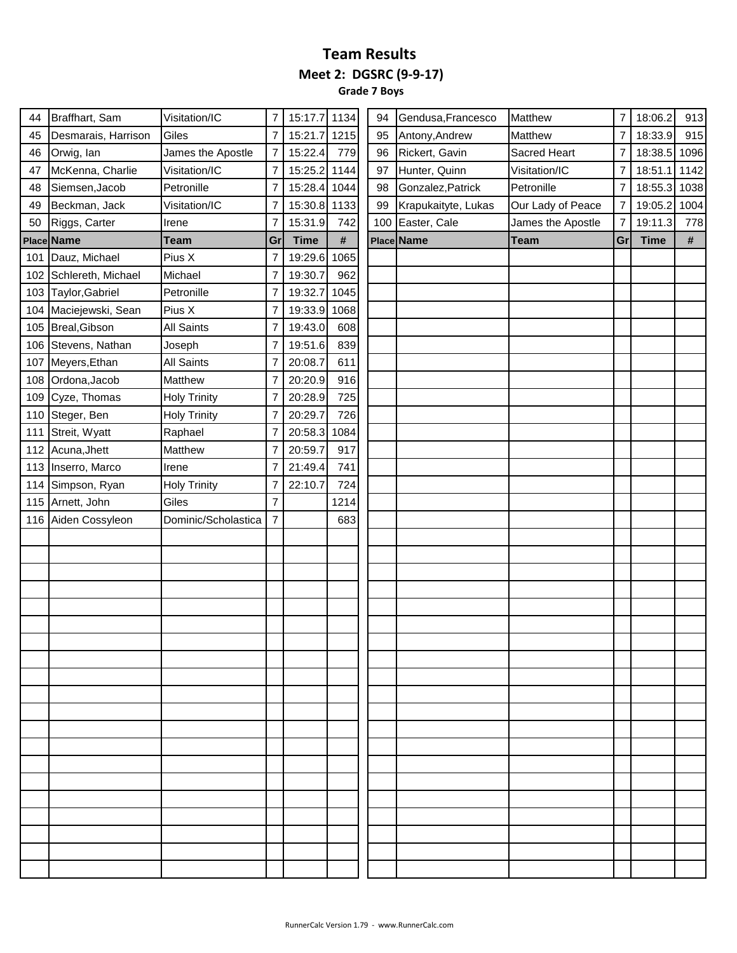**Grade 7 Boys**

| 44  | Braffhart, Sam         | Visitation/IC       | 7              | 15:17.7 1134 |      | 94  | Gendusa, Francesco  | Matthew           | $\overline{7}$ | 18:06.2     | 913  |
|-----|------------------------|---------------------|----------------|--------------|------|-----|---------------------|-------------------|----------------|-------------|------|
| 45  | Desmarais, Harrison    | Giles               | 7              | 15:21.7      | 1215 | 95  | Antony, Andrew      | Matthew           | $\overline{7}$ | 18:33.9     | 915  |
| 46  | Orwig, Ian             | James the Apostle   | 7              | 15:22.4      | 779  | 96  | Rickert, Gavin      | Sacred Heart      | 7              | 18:38.5     | 1096 |
| 47  | McKenna, Charlie       | Visitation/IC       | 7              | 15:25.2 1144 |      | 97  | Hunter, Quinn       | Visitation/IC     | 7              | 18:51.1     | 1142 |
| 48  | Siemsen, Jacob         | Petronille          | 7              | 15:28.4 1044 |      | 98  | Gonzalez, Patrick   | Petronille        | 7              | 18:55.3     | 1038 |
| 49  | Beckman, Jack          | Visitation/IC       | 7              | 15:30.8 1133 |      | 99  | Krapukaityte, Lukas | Our Lady of Peace | 7              | 19:05.2     | 1004 |
| 50  | Riggs, Carter          | Irene               | 7              | 15:31.9      | 742  | 100 | Easter, Cale        | James the Apostle | 7              | 19:11.3     | 778  |
|     | Place Name             | <b>Team</b>         | Gr             | <b>Time</b>  | #    |     | Place Name          | <b>Team</b>       | Gr             | <b>Time</b> | #    |
|     | 101 Dauz, Michael      | Pius X              | 7              | 19:29.6      | 1065 |     |                     |                   |                |             |      |
|     | 102 Schlereth, Michael | Michael             | $\overline{7}$ | 19:30.7      | 962  |     |                     |                   |                |             |      |
|     | 103 Taylor, Gabriel    | Petronille          | 7              | 19:32.7      | 1045 |     |                     |                   |                |             |      |
|     | 104 Maciejewski, Sean  | Pius X              | 7              | 19:33.9      | 1068 |     |                     |                   |                |             |      |
|     | 105 Breal, Gibson      | <b>All Saints</b>   | 7              | 19:43.0      | 608  |     |                     |                   |                |             |      |
|     | 106 Stevens, Nathan    | Joseph              | $\overline{7}$ | 19:51.6      | 839  |     |                     |                   |                |             |      |
|     | 107 Meyers, Ethan      | <b>All Saints</b>   | 7              | 20:08.7      | 611  |     |                     |                   |                |             |      |
| 108 | Ordona, Jacob          | Matthew             | 7              | 20:20.9      | 916  |     |                     |                   |                |             |      |
| 109 | Cyze, Thomas           | <b>Holy Trinity</b> | 7              | 20:28.9      | 725  |     |                     |                   |                |             |      |
|     | 110 Steger, Ben        | <b>Holy Trinity</b> | 7              | 20:29.7      | 726  |     |                     |                   |                |             |      |
|     | 111 Streit, Wyatt      | Raphael             |                | 20:58.3      | 1084 |     |                     |                   |                |             |      |
|     | 112 Acuna, Jhett       | Matthew             | 7              | 20:59.7      | 917  |     |                     |                   |                |             |      |
|     | 113 Inserro, Marco     | Irene               | 7              | 21:49.4      | 741  |     |                     |                   |                |             |      |
|     | 114 Simpson, Ryan      | <b>Holy Trinity</b> | 7              | 22:10.7      | 724  |     |                     |                   |                |             |      |
|     | 115 Arnett, John       | Giles               | $\overline{7}$ |              | 1214 |     |                     |                   |                |             |      |
|     | 116 Aiden Cossyleon    | Dominic/Scholastica | $\overline{7}$ |              | 683  |     |                     |                   |                |             |      |
|     |                        |                     |                |              |      |     |                     |                   |                |             |      |
|     |                        |                     |                |              |      |     |                     |                   |                |             |      |
|     |                        |                     |                |              |      |     |                     |                   |                |             |      |
|     |                        |                     |                |              |      |     |                     |                   |                |             |      |
|     |                        |                     |                |              |      |     |                     |                   |                |             |      |
|     |                        |                     |                |              |      |     |                     |                   |                |             |      |
|     |                        |                     |                |              |      |     |                     |                   |                |             |      |
|     |                        |                     |                |              |      |     |                     |                   |                |             |      |
|     |                        |                     |                |              |      |     |                     |                   |                |             |      |
|     |                        |                     |                |              |      |     |                     |                   |                |             |      |
|     |                        |                     |                |              |      |     |                     |                   |                |             |      |
|     |                        |                     |                |              |      |     |                     |                   |                |             |      |
|     |                        |                     |                |              |      |     |                     |                   |                |             |      |
|     |                        |                     |                |              |      |     |                     |                   |                |             |      |
|     |                        |                     |                |              |      |     |                     |                   |                |             |      |
|     |                        |                     |                |              |      |     |                     |                   |                |             |      |
|     |                        |                     |                |              |      |     |                     |                   |                |             |      |
|     |                        |                     |                |              |      |     |                     |                   |                |             |      |
|     |                        |                     |                |              |      |     |                     |                   |                |             |      |
|     |                        |                     |                |              |      |     |                     |                   |                |             |      |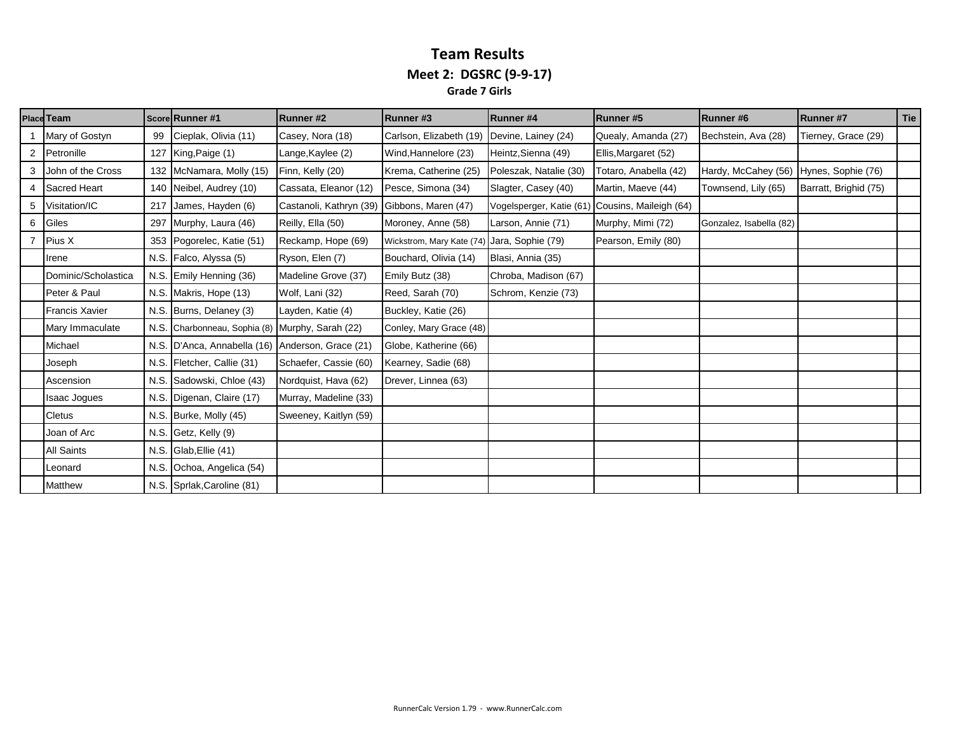#### **Team Results Meet 2: DGSRC (9-9-17) Grade 7 Girls**

|   | <b>Place Team</b>     |      | <b>ScorelRunner</b> #1                           | Runner#2                                    | Runner#3                 | Runner#4                                        | Runner#5              | Runner#6                | Runner#7              | Tie |
|---|-----------------------|------|--------------------------------------------------|---------------------------------------------|--------------------------|-------------------------------------------------|-----------------------|-------------------------|-----------------------|-----|
|   | Mary of Gostyn        | 99   | Cieplak, Olivia (11)                             | Casey, Nora (18)                            | Carlson, Elizabeth (19)  | Devine, Lainey (24)                             | Quealy, Amanda (27)   | Bechstein, Ava (28)     | Tierney, Grace (29)   |     |
| 2 | Petronille            |      | 127 King, Paige $(1)$                            | Lange, Kaylee (2)                           | Wind, Hannelore (23)     | Heintz, Sienna (49)                             | Ellis, Margaret (52)  |                         |                       |     |
| 3 | John of the Cross     |      | 132 McNamara, Molly (15)                         | Finn, Kelly (20)                            | Krema, Catherine (25)    | Poleszak, Natalie (30)                          | Totaro, Anabella (42) | Hardy, McCahey (56)     | Hynes, Sophie (76)    |     |
|   | <b>Sacred Heart</b>   |      | 140 Neibel, Audrey (10)                          | Cassata, Eleanor (12)                       | Pesce, Simona (34)       | Slagter, Casey (40)                             | Martin, Maeve (44)    | Townsend, Lily (65)     | Barratt, Brighid (75) |     |
| 5 | Visitation/IC         | 217  | James, Hayden (6)                                | Castanoli, Kathryn (39) Gibbons, Maren (47) |                          | Vogelsperger, Katie (61) Cousins, Maileigh (64) |                       |                         |                       |     |
| 6 | Giles                 | 297  | Murphy, Laura (46)                               | Reilly, Ella (50)                           | Moroney, Anne (58)       | Larson, Annie (71)                              | Murphy, Mimi (72)     | Gonzalez, Isabella (82) |                       |     |
|   | Pius X                |      | 353 Pogorelec, Katie (51)                        | Reckamp, Hope (69)                          | Wickstrom, Mary Kate (74 | Jara, Sophie (79)                               | Pearson, Emily (80)   |                         |                       |     |
|   | Irene                 |      | N.S. Falco, Alyssa (5)                           | Ryson, Elen (7)                             | Bouchard, Olivia (14)    | Blasi, Annia (35)                               |                       |                         |                       |     |
|   | Dominic/Scholastica   |      | N.S. Emily Henning (36)                          | Madeline Grove (37)                         | Emily Butz (38)          | Chroba, Madison (67)                            |                       |                         |                       |     |
|   | Peter & Paul          |      | N.S. Makris, Hope (13)                           | Wolf, Lani (32)                             | Reed, Sarah (70)         | Schrom, Kenzie (73)                             |                       |                         |                       |     |
|   | <b>Francis Xavier</b> |      | N.S. Burns, Delaney (3)                          | Layden, Katie (4)                           | Buckley, Katie (26)      |                                                 |                       |                         |                       |     |
|   | Mary Immaculate       |      | N.S. Charbonneau, Sophia (8) Murphy, Sarah (22)  |                                             | Conley, Mary Grace (48)  |                                                 |                       |                         |                       |     |
|   | Michael               |      | N.S. D'Anca, Annabella (16) Anderson, Grace (21) |                                             | Globe, Katherine (66)    |                                                 |                       |                         |                       |     |
|   | Joseph                |      | N.S. Fletcher, Callie (31)                       | Schaefer, Cassie (60)                       | Kearney, Sadie (68)      |                                                 |                       |                         |                       |     |
|   | Ascension             |      | N.S. Sadowski, Chloe (43)                        | Nordquist, Hava (62)                        | Drever, Linnea (63)      |                                                 |                       |                         |                       |     |
|   | Isaac Jogues          | N.S. | Digenan, Claire (17)                             | Murray, Madeline (33)                       |                          |                                                 |                       |                         |                       |     |
|   | Cletus                |      | N.S. Burke, Molly (45)                           | Sweeney, Kaitlyn (59)                       |                          |                                                 |                       |                         |                       |     |
|   | Joan of Arc           |      | N.S. Getz, Kelly (9)                             |                                             |                          |                                                 |                       |                         |                       |     |
|   | All Saints            |      | N.S. $Glab,$ Ellie (41)                          |                                             |                          |                                                 |                       |                         |                       |     |
|   | Leonard               | N.S. | Ochoa, Angelica (54)                             |                                             |                          |                                                 |                       |                         |                       |     |
|   | Matthew               |      | N.S. Spriak, Caroline (81)                       |                                             |                          |                                                 |                       |                         |                       |     |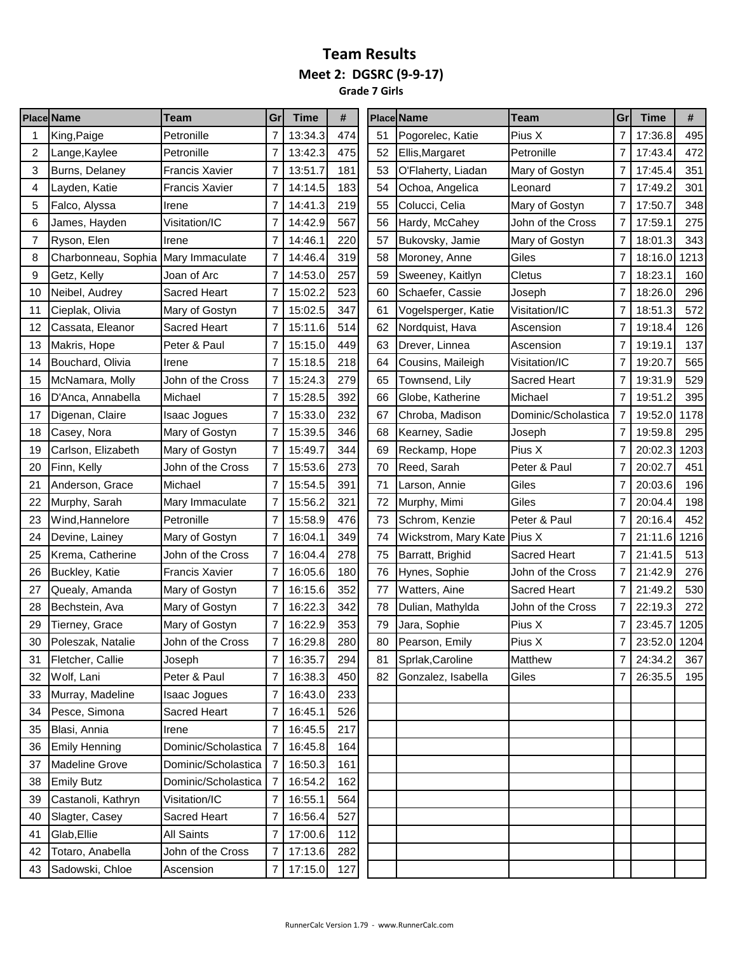#### **Team Results Meet 2: DGSRC (9-9-17) Grade 7 Girls**

| $\overline{7}$<br>13:34.3<br>474<br>51<br>Pogorelec, Katie<br>Pius X<br>$\mathbf{1}$<br>King, Paige<br>Petronille<br>7<br>13:42.3<br>475<br>Petronille<br>2<br>Petronille<br>52<br>Lange, Kaylee<br>Ellis, Margaret<br>3<br>7<br>13:51.7<br>181<br>53<br><b>Francis Xavier</b><br>O'Flaherty, Liadan<br>Burns, Delaney<br>Mary of Gostyn | 7<br>7<br>7<br>7<br>7 | 17:36.8<br>17:43.4<br>17:45.4 | 495<br>472 |
|------------------------------------------------------------------------------------------------------------------------------------------------------------------------------------------------------------------------------------------------------------------------------------------------------------------------------------------|-----------------------|-------------------------------|------------|
|                                                                                                                                                                                                                                                                                                                                          |                       |                               |            |
|                                                                                                                                                                                                                                                                                                                                          |                       |                               |            |
|                                                                                                                                                                                                                                                                                                                                          |                       |                               | 351        |
| 7<br>183<br><b>Francis Xavier</b><br>14:14.5<br>54<br>Ochoa, Angelica<br>4<br>Layden, Katie<br>Leonard                                                                                                                                                                                                                                   |                       | 17:49.2                       | 301        |
| 5<br>7<br>219<br>55<br>Falco, Alyssa<br>14:41.3<br>Colucci, Celia<br>Mary of Gostyn<br>Irene                                                                                                                                                                                                                                             |                       | 17:50.7                       | 348        |
| 14:42.9<br>567<br>6<br>Visitation/IC<br>7<br>56<br>John of the Cross<br>James, Hayden<br>Hardy, McCahey                                                                                                                                                                                                                                  | 7                     | 17:59.1                       | 275        |
| 7<br>7<br>14:46.1<br>220<br>57<br>Ryson, Elen<br>Bukovsky, Jamie<br>Mary of Gostyn<br>Irene                                                                                                                                                                                                                                              | 7                     | 18:01.3                       | 343        |
| 8<br>7<br>14:46.4<br>319<br>58<br>Giles<br>Charbonneau, Sophia<br>Mary Immaculate<br>Moroney, Anne                                                                                                                                                                                                                                       | 7                     | 18:16.0                       | 1213       |
| 7<br>257<br><b>Cletus</b><br>9<br>Getz, Kelly<br>Joan of Arc<br>14:53.0<br>59<br>Sweeney, Kaitlyn                                                                                                                                                                                                                                        | 7                     | 18:23.1                       | 160        |
| 7<br>15:02.2<br>523<br>10<br><b>Sacred Heart</b><br>60<br>Schaefer, Cassie<br>Neibel, Audrey<br>Joseph                                                                                                                                                                                                                                   | 7                     | 18:26.0                       | 296        |
| 7<br>347<br>Visitation/IC<br>11<br>Cieplak, Olivia<br>Mary of Gostyn<br>15:02.5<br>61<br>Vogelsperger, Katie                                                                                                                                                                                                                             | 7                     | 18:51.3                       | 572        |
| 7<br>514<br>62<br>12<br>Cassata, Eleanor<br><b>Sacred Heart</b><br>15:11.6<br>Nordquist, Hava<br>Ascension                                                                                                                                                                                                                               | 7                     | 19:18.4                       | 126        |
| Makris, Hope<br>Peter & Paul<br>7<br>15:15.0<br>449<br>63<br>Drever, Linnea<br>13<br>Ascension                                                                                                                                                                                                                                           | 7                     | 19:19.1                       | 137        |
| 7<br>218<br>14<br>Bouchard, Olivia<br>15:18.5<br>64<br>Cousins, Maileigh<br>Visitation/IC<br>Irene                                                                                                                                                                                                                                       | 7                     | 19:20.7                       | 565        |
| John of the Cross<br>7<br>15:24.3<br>279<br>Sacred Heart<br>15<br>McNamara, Molly<br>65<br>Townsend, Lily                                                                                                                                                                                                                                | 7                     | 19:31.9                       | 529        |
| 7<br>392<br>D'Anca, Annabella<br>Michael<br>15:28.5<br>66<br>Michael<br>16<br>Globe, Katherine                                                                                                                                                                                                                                           | $\overline{7}$        | 19:51.2                       | 395        |
| 7<br>232<br>Dominic/Scholastica<br>17<br>Digenan, Claire<br>15:33.0<br>67<br>Isaac Jogues<br>Chroba, Madison                                                                                                                                                                                                                             | 7                     | 19:52.0                       | 1178       |
| $\overline{7}$<br>15:39.5<br>346<br>68<br>18<br>Casey, Nora<br>Mary of Gostyn<br>Kearney, Sadie<br>Joseph                                                                                                                                                                                                                                | 7                     | 19:59.8                       | 295        |
| 344<br>7<br>15:49.7<br>69<br>Pius X<br>19<br>Carlson, Elizabeth<br>Mary of Gostyn<br>Reckamp, Hope                                                                                                                                                                                                                                       |                       | 20:02.3                       | 1203       |
| John of the Cross<br>7<br>15:53.6<br>273<br>70<br>Reed, Sarah<br>Peter & Paul<br>20<br>Finn, Kelly                                                                                                                                                                                                                                       |                       | 20:02.7                       | 451        |
| 391<br>21<br>7<br>15:54.5<br>71<br>Giles<br>Anderson, Grace<br>Michael<br>Larson, Annie                                                                                                                                                                                                                                                  | 7                     | 20:03.6                       | 196        |
| 22<br>7<br>15:56.2<br>321<br>Giles<br>Mary Immaculate<br>72<br>Murphy, Sarah<br>Murphy, Mimi                                                                                                                                                                                                                                             |                       | 20:04.4                       | 198        |
| Petronille<br>7<br>476<br>Peter & Paul<br>23<br>15:58.9<br>73<br>Schrom, Kenzie<br>Wind, Hannelore                                                                                                                                                                                                                                       | 7                     | 20:16.4                       | 452        |
| 349<br>7<br>74<br>Pius X<br>24<br>Mary of Gostyn<br>16:04.1<br>Wickstrom, Mary Kate<br>Devine, Lainey                                                                                                                                                                                                                                    | 7                     | 21:11.6                       | 1216       |
| 278<br>John of the Cross<br>7<br>16:04.4<br>75<br>Barratt, Brighid<br>Sacred Heart<br>25<br>Krema, Catherine                                                                                                                                                                                                                             | 7                     | 21:41.5                       | 513        |
| 7<br>180<br>76<br>26<br>Buckley, Katie<br><b>Francis Xavier</b><br>16:05.6<br>Hynes, Sophie<br>John of the Cross                                                                                                                                                                                                                         | 7                     | 21:42.9                       | 276        |
| 27<br>7<br>16:15.6<br>352<br>77<br>Sacred Heart<br>Quealy, Amanda<br>Mary of Gostyn<br>Watters, Aine                                                                                                                                                                                                                                     | 7                     | 21:49.2                       | 530        |
| 7<br>16:22.3<br>342<br>28<br>78<br>Dulian, Mathylda<br>John of the Cross<br>Bechstein, Ava<br>Mary of Gostyn                                                                                                                                                                                                                             |                       | 22:19.3                       | 272        |
| 7<br>353<br>79<br>Pius X<br>29<br>Mary of Gostyn<br>16:22.9<br>Jara, Sophie<br>Tierney, Grace                                                                                                                                                                                                                                            | 7                     | 23:45.7                       | 1205       |
| 280<br>7<br>16:29.8<br>80<br>Pius X<br>30<br>Poleszak, Natalie<br>John of the Cross<br>Pearson, Emily                                                                                                                                                                                                                                    | 7                     | 23:52.0 1204                  |            |
| 16:35.7<br>294<br>Matthew<br>Fletcher, Callie<br>7<br>Sprlak, Caroline<br>31<br>Joseph<br>81                                                                                                                                                                                                                                             | 7                     | 24:34.2                       | 367        |
| Peter & Paul<br>16:38.3<br>450<br>Wolf, Lani<br>$\overline{7}$<br>82<br>Gonzalez, Isabella<br>Giles<br>32                                                                                                                                                                                                                                | 7                     | 26:35.5                       | 195        |
| 16:43.0<br>233<br>Murray, Madeline<br>7<br>33<br><b>Isaac Jogues</b>                                                                                                                                                                                                                                                                     |                       |                               |            |
| Sacred Heart<br>$\overline{7}$<br>16:45.1<br>526<br>Pesce, Simona<br>34                                                                                                                                                                                                                                                                  |                       |                               |            |
| 7<br>16:45.5<br>217<br>Blasi, Annia<br>Irene<br>35                                                                                                                                                                                                                                                                                       |                       |                               |            |
| Dominic/Scholastica<br><b>Emily Henning</b><br>7<br>16:45.8<br>164<br>36                                                                                                                                                                                                                                                                 |                       |                               |            |
| 16:50.3<br><b>Madeline Grove</b><br>Dominic/Scholastica<br>161<br>$\overline{7}$<br>37                                                                                                                                                                                                                                                   |                       |                               |            |
| 162<br>16:54.2<br><b>Emily Butz</b><br>Dominic/Scholastica<br>7<br>38                                                                                                                                                                                                                                                                    |                       |                               |            |
| Visitation/IC<br>$\overline{7}$<br>16:55.1<br>39<br>Castanoli, Kathryn<br>564                                                                                                                                                                                                                                                            |                       |                               |            |
| Sacred Heart<br>$\overline{7}$<br>16:56.4<br>527<br>Slagter, Casey<br>40                                                                                                                                                                                                                                                                 |                       |                               |            |
| All Saints<br>17:00.6<br>112<br>Glab, Ellie<br>7<br>41                                                                                                                                                                                                                                                                                   |                       |                               |            |
| Totaro, Anabella<br>John of the Cross<br>7<br>17:13.6<br>282<br>42                                                                                                                                                                                                                                                                       |                       |                               |            |
| 7<br>17:15.0<br>127<br>Sadowski, Chloe<br>Ascension<br>43                                                                                                                                                                                                                                                                                |                       |                               |            |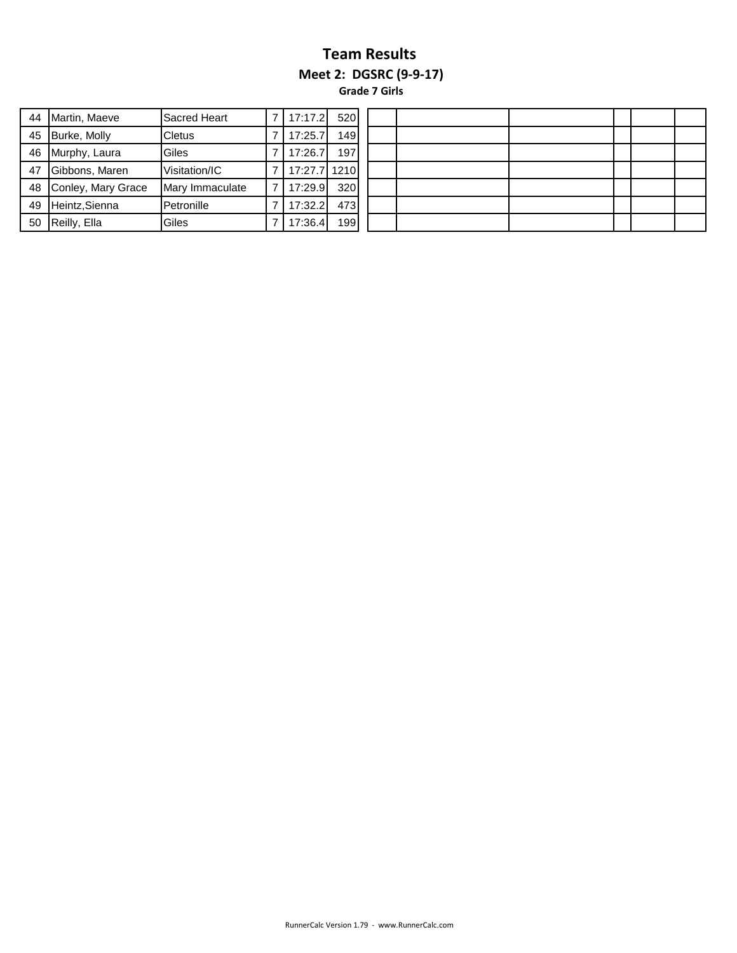#### **Team Results Meet 2: DGSRC (9-9-17) Grade 7 Girls**

| 44 | Martin, Maeve      | Sacred Heart    | 17:17.2 | 520  |  |  |
|----|--------------------|-----------------|---------|------|--|--|
| 45 | Burke, Molly       | <b>Cletus</b>   | 17:25.7 | 149  |  |  |
| 46 | Murphy, Laura      | Giles           | 17:26.7 | 197  |  |  |
| 47 | Gibbons, Maren     | Visitation/IC   | 17:27.7 | 1210 |  |  |
| 48 | Conley, Mary Grace | Mary Immaculate | 17:29.9 | 320  |  |  |
| 49 | Heintz, Sienna     | Petronille      | 17:32.2 | 473  |  |  |
| 50 | Reilly, Ella       | Giles           | 17:36.4 | 199  |  |  |

| .21             | 520  |  |  |  |  |
|-----------------|------|--|--|--|--|
| .7              | 149  |  |  |  |  |
| .7              | 197  |  |  |  |  |
| .7 <sub>l</sub> | 1210 |  |  |  |  |
| .9              | 320  |  |  |  |  |
| $\vert 2 \vert$ | 473  |  |  |  |  |
| $\mathcal{A}$   | 199  |  |  |  |  |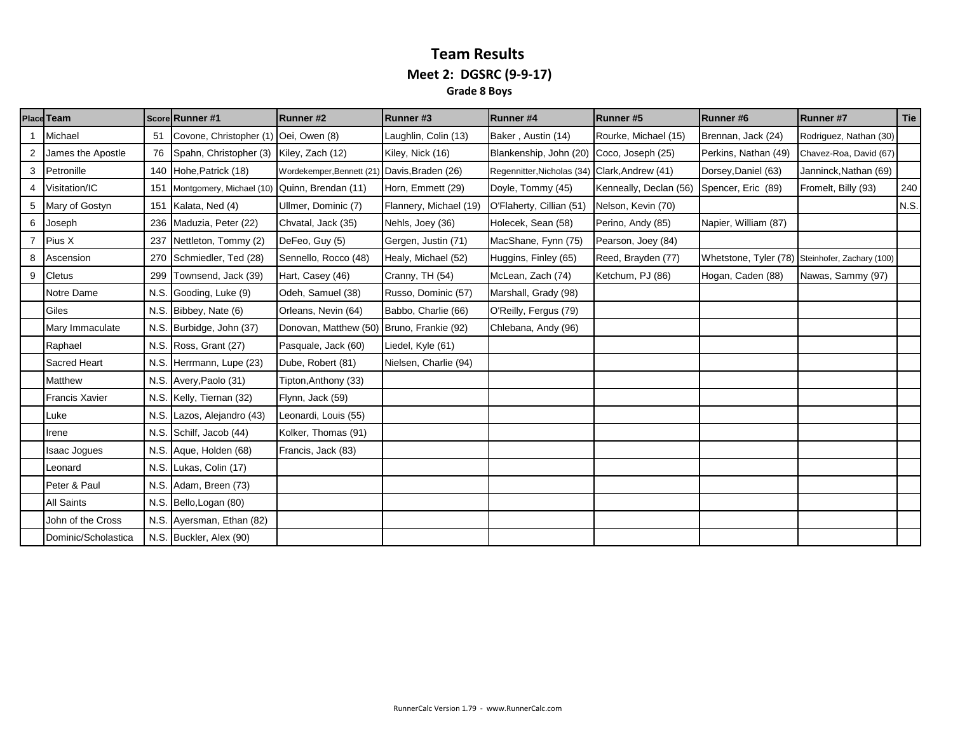#### **Team Results Meet 2: DGSRC (9-9-17) Grade 8 Boys**

|   | <b>Place Team</b>     |      | Score Runner #1                              | <b>Runner#2</b>                              | Runner#3               | Runner#4                                      | Runner#5               | Runner#6             | <b>Runner#7</b>                                 | Tie  |
|---|-----------------------|------|----------------------------------------------|----------------------------------------------|------------------------|-----------------------------------------------|------------------------|----------------------|-------------------------------------------------|------|
|   | Michael               | 51   | Covone, Christopher (1) Oei, Owen (8)        |                                              | Laughlin, Colin (13)   | Baker, Austin (14)                            | Rourke, Michael (15)   | Brennan, Jack (24)   | Rodriguez, Nathan (30)                          |      |
|   | James the Apostle     | 76   | Spahn, Christopher (3) Kiley, Zach (12)      |                                              | Kiley, Nick (16)       | Blankenship, John (20) Coco, Joseph (25)      |                        | Perkins, Nathan (49) | Chavez-Roa, David (67)                          |      |
| 3 | Petronille            |      | 140 Hohe, Patrick (18)                       | Wordekemper, Bennett (21) Davis, Braden (26) |                        | Regennitter, Nicholas (34) Clark, Andrew (41) |                        | Dorsey, Daniel (63)  | Janninck, Nathan (69)                           |      |
|   | Visitation/IC         | 151  | Montgomery, Michael (10) Quinn, Brendan (11) |                                              | Horn, Emmett (29)      | Doyle, Tommy (45)                             | Kenneally, Declan (56) | Spencer, Eric (89)   | Fromelt, Billy (93)                             | 240  |
| 5 | Mary of Gostyn        | 151  | Kalata, Ned (4)                              | Ullmer, Dominic (7)                          | Flannery, Michael (19) | O'Flaherty, Cillian (51)                      | Nelson, Kevin (70)     |                      |                                                 | N.S. |
| 6 | Joseph                | 236  | Maduzia, Peter (22)                          | Chvatal, Jack (35)                           | Nehls, Joey (36)       | Holecek, Sean (58)                            | Perino, Andy (85)      | Napier, William (87) |                                                 |      |
|   | Pius X                | 237  | Nettleton, Tommy (2)                         | DeFeo, Guy (5)                               | Gergen, Justin (71)    | MacShane, Fynn (75)                           | Pearson, Joey (84)     |                      |                                                 |      |
| 8 | Ascension             | 270  | Schmiedler, Ted (28)                         | Sennello, Rocco (48)                         | Healy, Michael (52)    | Huggins, Finley (65)                          | Reed, Brayden (77)     |                      | Whetstone, Tyler (78) Steinhofer, Zachary (100) |      |
| 9 | <b>Cletus</b>         | 299  | Townsend, Jack (39)                          | Hart, Casey (46)                             | Cranny, TH (54)        | McLean, Zach (74)                             | Ketchum, PJ (86)       | Hogan, Caden (88)    | Nawas, Sammy (97)                               |      |
|   | Notre Dame            | N.S. | Gooding, Luke (9)                            | Odeh, Samuel (38)                            | Russo, Dominic (57)    | Marshall, Grady (98)                          |                        |                      |                                                 |      |
|   | Giles                 |      | N.S. Bibbey, Nate (6)                        | Orleans, Nevin (64)                          | Babbo, Charlie (66)    | O'Reilly, Fergus (79)                         |                        |                      |                                                 |      |
|   | Mary Immaculate       |      | N.S. Burbidge, John (37)                     | Donovan, Matthew (50) Bruno, Frankie (92)    |                        | Chlebana, Andy (96)                           |                        |                      |                                                 |      |
|   | Raphael               |      | N.S. Ross, Grant (27)                        | Pasquale, Jack (60)                          | Liedel, Kyle (61)      |                                               |                        |                      |                                                 |      |
|   | Sacred Heart          |      | N.S. Herrmann, Lupe (23)                     | Dube, Robert (81)                            | Nielsen, Charlie (94)  |                                               |                        |                      |                                                 |      |
|   | Matthew               |      | N.S. Avery, Paolo (31)                       | Tipton, Anthony (33)                         |                        |                                               |                        |                      |                                                 |      |
|   | <b>Francis Xavier</b> |      | N.S. Kelly, Tiernan (32)                     | Flynn, Jack (59)                             |                        |                                               |                        |                      |                                                 |      |
|   | Luke                  | N.S. | Lazos, Alejandro (43)                        | Leonardi, Louis (55)                         |                        |                                               |                        |                      |                                                 |      |
|   | Irene                 |      | N.S. Schilf, Jacob (44)                      | Kolker, Thomas (91)                          |                        |                                               |                        |                      |                                                 |      |
|   | <b>Isaac Jogues</b>   |      | N.S. Aque, Holden (68)                       | Francis, Jack (83)                           |                        |                                               |                        |                      |                                                 |      |
|   | Leonard               |      | N.S. Lukas, Colin (17)                       |                                              |                        |                                               |                        |                      |                                                 |      |
|   | Peter & Paul          |      | N.S. Adam, Breen (73)                        |                                              |                        |                                               |                        |                      |                                                 |      |
|   | All Saints            |      | N.S. Bello, Logan (80)                       |                                              |                        |                                               |                        |                      |                                                 |      |
|   | John of the Cross     |      | N.S. Ayersman, Ethan (82)                    |                                              |                        |                                               |                        |                      |                                                 |      |
|   | Dominic/Scholastica   |      | N.S. Buckler, Alex (90)                      |                                              |                        |                                               |                        |                      |                                                 |      |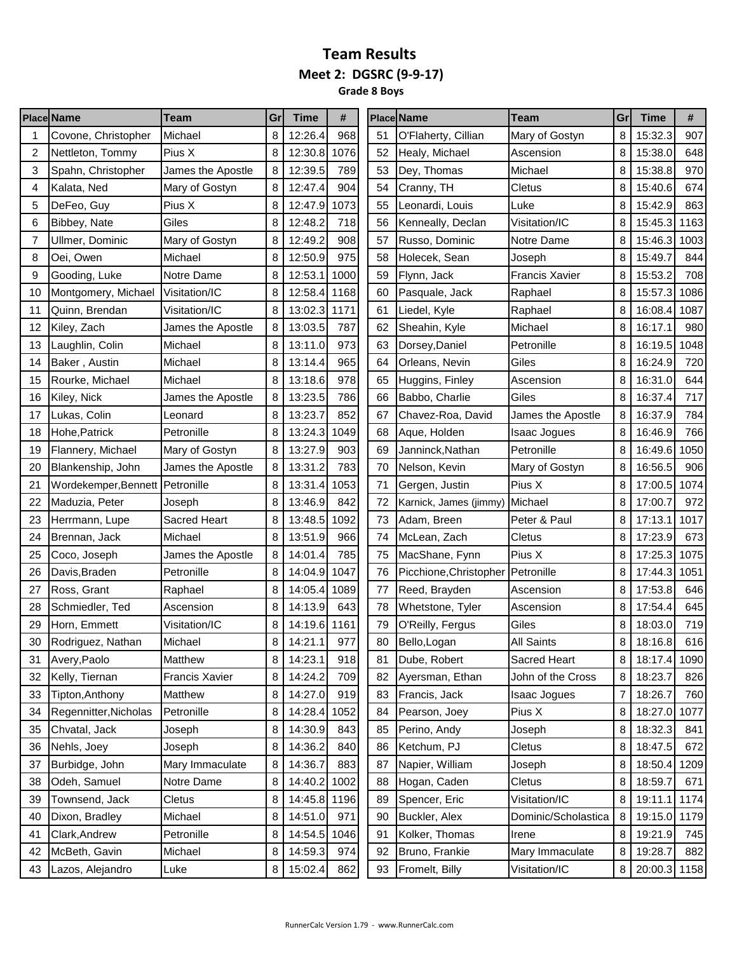**Grade 8 Boys**

|    | <b>Place Name</b>               | Team                | Gr | <b>Time</b>  | #    |    | <b>Place Name</b>      | <b>Team</b>           | Gr | <b>Time</b>  | #    |
|----|---------------------------------|---------------------|----|--------------|------|----|------------------------|-----------------------|----|--------------|------|
| 1  | Covone, Christopher             | Michael             | 8  | 12:26.4      | 968  | 51 | O'Flaherty, Cillian    | Mary of Gostyn        | 8  | 15:32.3      | 907  |
| 2  | Nettleton, Tommy                | Pius X              | 8  | 12:30.8      | 1076 | 52 | Healy, Michael         | Ascension             | 8  | 15:38.0      | 648  |
| 3  | Spahn, Christopher              | James the Apostle   | 8  | 12:39.5      | 789  | 53 | Dey, Thomas            | Michael               | 8  | 15:38.8      | 970  |
| 4  | Kalata, Ned                     | Mary of Gostyn      | 8  | 12:47.4      | 904  | 54 | Cranny, TH             | Cletus                | 8  | 15:40.6      | 674  |
| 5  | DeFeo, Guy                      | Pius X              | 8  | 12:47.9      | 1073 | 55 | Leonardi, Louis        | Luke                  | 8  | 15:42.9      | 863  |
| 6  | Bibbey, Nate                    | Giles               | 8  | 12:48.2      | 718  | 56 | Kenneally, Declan      | Visitation/IC         | 8  | 15:45.3      | 1163 |
| 7  | Ullmer, Dominic                 | Mary of Gostyn      | 8  | 12:49.2      | 908  | 57 | Russo, Dominic         | Notre Dame            | 8  | 15:46.3      | 1003 |
| 8  | Oei, Owen                       | Michael             | 8  | 12:50.9      | 975  | 58 | Holecek, Sean          | Joseph                | 8  | 15:49.7      | 844  |
| 9  | Gooding, Luke                   | Notre Dame          | 8  | 12:53.1      | 1000 | 59 | Flynn, Jack            | <b>Francis Xavier</b> | 8  | 15:53.2      | 708  |
| 10 | Montgomery, Michael             | Visitation/IC       | 8  | 12:58.4      | 1168 | 60 | Pasquale, Jack         | Raphael               | 8  | 15:57.3      | 1086 |
| 11 | Quinn, Brendan                  | Visitation/IC       | 8  | 13:02.3      | 1171 | 61 | Liedel, Kyle           | Raphael               | 8  | 16:08.4      | 1087 |
| 12 | Kiley, Zach                     | James the Apostle   | 8  | 13:03.5      | 787  | 62 | Sheahin, Kyle          | Michael               | 8  | 16:17.1      | 980  |
| 13 | Laughlin, Colin                 | Michael             | 8  | 13:11.0      | 973  | 63 | Dorsey, Daniel         | Petronille            | 8  | 16:19.5      | 1048 |
| 14 | Baker, Austin                   | Michael             | 8  | 13:14.4      | 965  | 64 | Orleans, Nevin         | Giles                 | 8  | 16:24.9      | 720  |
| 15 | Rourke, Michael                 | Michael             | 8  | 13:18.6      | 978  | 65 | Huggins, Finley        | Ascension             | 8  | 16:31.0      | 644  |
| 16 | Kiley, Nick                     | James the Apostle   | 8  | 13:23.5      | 786  | 66 | Babbo, Charlie         | Giles                 | 8  | 16:37.4      | 717  |
| 17 | Lukas, Colin                    | Leonard             | 8  | 13:23.7      | 852  | 67 | Chavez-Roa, David      | James the Apostle     | 8  | 16:37.9      | 784  |
| 18 | Hohe, Patrick                   | Petronille          | 8  | 13:24.3      | 1049 | 68 | Aque, Holden           | <b>Isaac Jogues</b>   | 8  | 16:46.9      | 766  |
| 19 | Flannery, Michael               | Mary of Gostyn      | 8  | 13:27.9      | 903  | 69 | Janninck, Nathan       | Petronille            | 8  | 16:49.6      | 1050 |
| 20 | Blankenship, John               | James the Apostle   | 8  | 13:31.2      | 783  | 70 | Nelson, Kevin          | Mary of Gostyn        | 8  | 16:56.5      | 906  |
| 21 | Wordekemper, Bennett Petronille |                     | 8  | 13:31.4      | 1053 | 71 | Gergen, Justin         | Pius X                | 8  | 17:00.5      | 1074 |
| 22 | Maduzia, Peter                  | Joseph              | 8  | 13:46.9      | 842  | 72 | Karnick, James (jimmy) | Michael               | 8  | 17:00.7      | 972  |
| 23 | Herrmann, Lupe                  | <b>Sacred Heart</b> | 8  | 13:48.5      | 1092 | 73 | Adam, Breen            | Peter & Paul          | 8  | 17:13.1      | 1017 |
| 24 | Brennan, Jack                   | Michael             | 8  | 13:51.9      | 966  | 74 | McLean, Zach           | Cletus                | 8  | 17:23.9      | 673  |
| 25 | Coco, Joseph                    | James the Apostle   | 8  | 14:01.4      | 785  | 75 | MacShane, Fynn         | Pius X                | 8  | 17:25.3      | 1075 |
| 26 | Davis, Braden                   | Petronille          | 8  | 14:04.9      | 1047 | 76 | Picchione, Christopher | Petronille            | 8  | 17:44.3      | 1051 |
| 27 | Ross, Grant                     | Raphael             | 8  | 14:05.4      | 1089 | 77 | Reed, Brayden          | Ascension             | 8  | 17:53.8      | 646  |
| 28 | Schmiedler, Ted                 | Ascension           | 8  | 14:13.9      | 643  | 78 | Whetstone, Tyler       | Ascension             | 8  | 17:54.4      | 645  |
| 29 | Horn, Emmett                    | Visitation/IC       | 8  | 14:19.6      | 1161 | 79 | O'Reilly, Fergus       | Giles                 | 8  | 18:03.0      | 719  |
| 30 | Rodriguez, Nathan               | Michael             | 8  | 14:21.1      | 977  | 80 | Bello, Logan           | <b>All Saints</b>     | 8  | 18:16.8      | 616  |
| 31 | Avery, Paolo                    | Matthew             | 8  | 14:23.1      | 918  | 81 | Dube, Robert           | Sacred Heart          | 8  | 18:17.4 1090 |      |
| 32 | Kelly, Tiernan                  | Francis Xavier      | 8  | 14:24.2      | 709  | 82 | Ayersman, Ethan        | John of the Cross     | 8  | 18:23.7      | 826  |
| 33 | Tipton, Anthony                 | Matthew             | 8  | 14:27.0      | 919  | 83 | Francis, Jack          | Isaac Jogues          | 7  | 18:26.7      | 760  |
| 34 | Regennitter, Nicholas           | Petronille          | 8  | 14:28.4      | 1052 | 84 | Pearson, Joey          | Pius X                | 8  | 18:27.0      | 1077 |
| 35 | Chvatal, Jack                   | Joseph              | 8  | 14:30.9      | 843  | 85 | Perino, Andy           | Joseph                | 8  | 18:32.3      | 841  |
| 36 | Nehls, Joey                     | Joseph              | 8  | 14:36.2      | 840  | 86 | Ketchum, PJ            | Cletus                | 8  | 18:47.5      | 672  |
| 37 | Burbidge, John                  | Mary Immaculate     | 8  | 14:36.7      | 883  | 87 | Napier, William        | Joseph                | 8  | 18:50.4      | 1209 |
| 38 | Odeh, Samuel                    | Notre Dame          | 8  | 14:40.2      | 1002 | 88 | Hogan, Caden           | Cletus                | 8  | 18:59.7      | 671  |
| 39 | Townsend, Jack                  | Cletus              | 8  | 14:45.8 1196 |      | 89 | Spencer, Eric          | Visitation/IC         | 8  | 19:11.1      | 1174 |
| 40 | Dixon, Bradley                  | Michael             | 8  | 14:51.0      | 971  | 90 | Buckler, Alex          | Dominic/Scholastica   | 8  | 19:15.0 1179 |      |
| 41 | Clark, Andrew                   | Petronille          | 8  | 14:54.5      | 1046 | 91 | Kolker, Thomas         | Irene                 | 8  | 19:21.9      | 745  |
| 42 | McBeth, Gavin                   | Michael             | 8  | 14:59.3      | 974  | 92 | Bruno, Frankie         | Mary Immaculate       | 8  | 19:28.7      | 882  |
| 43 | Lazos, Alejandro                | Luke                | 8  | 15:02.4      | 862  | 93 | Fromelt, Billy         | Visitation/IC         | 8  | 20:00.3 1158 |      |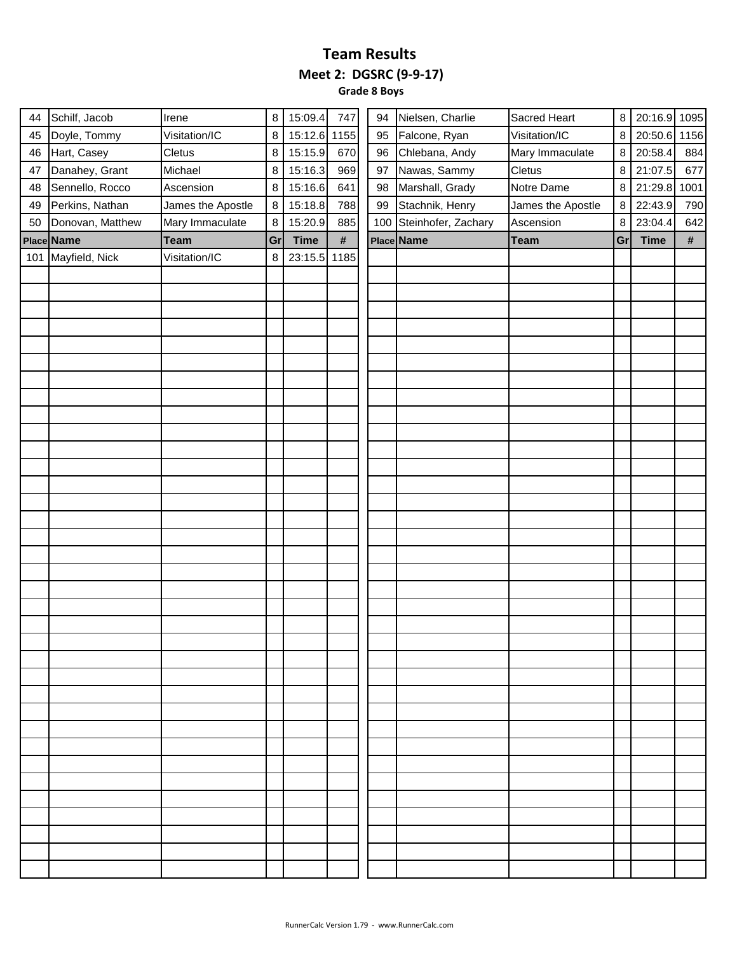**Grade 8 Boys**

| 44 | Schilf, Jacob      | Irene             | 8  | 15:09.4      | 747  | 94 | Nielsen, Charlie        | Sacred Heart      | $\bf 8$ | 20:16.9 1095 |     |
|----|--------------------|-------------------|----|--------------|------|----|-------------------------|-------------------|---------|--------------|-----|
| 45 | Doyle, Tommy       | Visitation/IC     | 8  | 15:12.6 1155 |      | 95 | Falcone, Ryan           | Visitation/IC     | 8       | 20:50.6 1156 |     |
| 46 | Hart, Casey        | Cletus            | 8  | 15:15.9      | 670  | 96 | Chlebana, Andy          | Mary Immaculate   | 8       | 20:58.4      | 884 |
| 47 | Danahey, Grant     | Michael           | 8  | 15:16.3      | 969  | 97 | Nawas, Sammy            | Cletus            | 8       | 21:07.5      | 677 |
| 48 | Sennello, Rocco    | Ascension         | 8  | 15:16.6      | 641  | 98 | Marshall, Grady         | Notre Dame        | 8       | 21:29.8 1001 |     |
| 49 | Perkins, Nathan    | James the Apostle | 8  | 15:18.8      | 788  | 99 | Stachnik, Henry         | James the Apostle | 8       | 22:43.9      | 790 |
| 50 | Donovan, Matthew   | Mary Immaculate   | 8  | 15:20.9      | 885  |    | 100 Steinhofer, Zachary | Ascension         | 8       | 23:04.4      | 642 |
|    | Place Name         | <b>Team</b>       | Gr | <b>Time</b>  | $\#$ |    | Place Name              | <b>Team</b>       | Gr      | <b>Time</b>  | #   |
|    | 101 Mayfield, Nick | Visitation/IC     | 8  | 23:15.5 1185 |      |    |                         |                   |         |              |     |
|    |                    |                   |    |              |      |    |                         |                   |         |              |     |
|    |                    |                   |    |              |      |    |                         |                   |         |              |     |
|    |                    |                   |    |              |      |    |                         |                   |         |              |     |
|    |                    |                   |    |              |      |    |                         |                   |         |              |     |
|    |                    |                   |    |              |      |    |                         |                   |         |              |     |
|    |                    |                   |    |              |      |    |                         |                   |         |              |     |
|    |                    |                   |    |              |      |    |                         |                   |         |              |     |
|    |                    |                   |    |              |      |    |                         |                   |         |              |     |
|    |                    |                   |    |              |      |    |                         |                   |         |              |     |
|    |                    |                   |    |              |      |    |                         |                   |         |              |     |
|    |                    |                   |    |              |      |    |                         |                   |         |              |     |
|    |                    |                   |    |              |      |    |                         |                   |         |              |     |
|    |                    |                   |    |              |      |    |                         |                   |         |              |     |
|    |                    |                   |    |              |      |    |                         |                   |         |              |     |
|    |                    |                   |    |              |      |    |                         |                   |         |              |     |
|    |                    |                   |    |              |      |    |                         |                   |         |              |     |
|    |                    |                   |    |              |      |    |                         |                   |         |              |     |
|    |                    |                   |    |              |      |    |                         |                   |         |              |     |
|    |                    |                   |    |              |      |    |                         |                   |         |              |     |
|    |                    |                   |    |              |      |    |                         |                   |         |              |     |
|    |                    |                   |    |              |      |    |                         |                   |         |              |     |
|    |                    |                   |    |              |      |    |                         |                   |         |              |     |
|    |                    |                   |    |              |      |    |                         |                   |         |              |     |
|    |                    |                   |    |              |      |    |                         |                   |         |              |     |
|    |                    |                   |    |              |      |    |                         |                   |         |              |     |
|    |                    |                   |    |              |      |    |                         |                   |         |              |     |
|    |                    |                   |    |              |      |    |                         |                   |         |              |     |
|    |                    |                   |    |              |      |    |                         |                   |         |              |     |
|    |                    |                   |    |              |      |    |                         |                   |         |              |     |
|    |                    |                   |    |              |      |    |                         |                   |         |              |     |
|    |                    |                   |    |              |      |    |                         |                   |         |              |     |
|    |                    |                   |    |              |      |    |                         |                   |         |              |     |
|    |                    |                   |    |              |      |    |                         |                   |         |              |     |
|    |                    |                   |    |              |      |    |                         |                   |         |              |     |
|    |                    |                   |    |              |      |    |                         |                   |         |              |     |